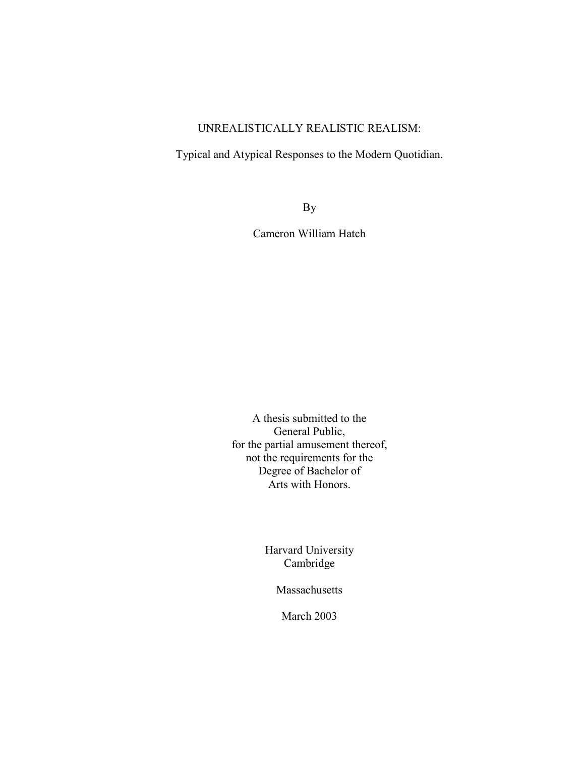# UNREALISTICALLY REALISTIC REALISM:

Typical and Atypical Responses to the Modern Quotidian.

By

Cameron William Hatch

A thesis submitted to the General Public, for the partial amusement thereof, not the requirements for the Degree of Bachelor of Arts with Honors.

> Harvard University Cambridge

> > Massachusetts

March 2003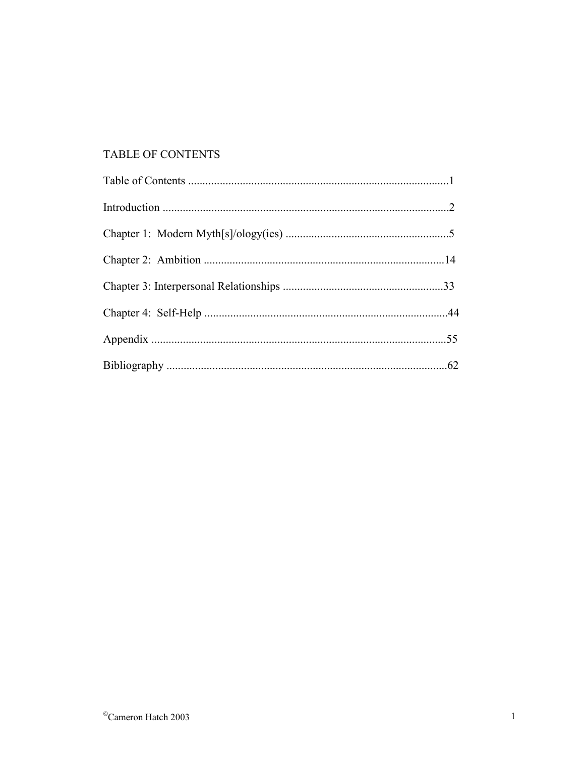# TABLE OF CONTENTS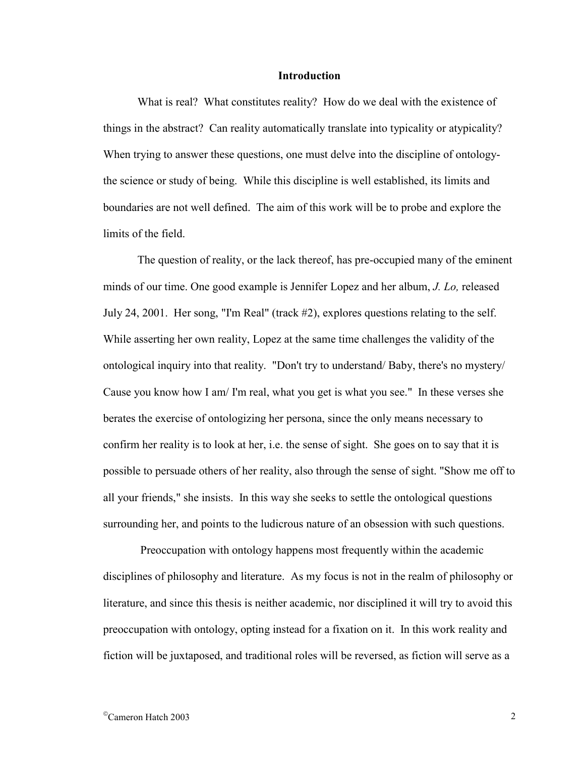#### **Introduction**

What is real? What constitutes reality? How do we deal with the existence of things in the abstract? Can reality automatically translate into typicality or atypicality? When trying to answer these questions, one must delve into the discipline of ontologythe science or study of being. While this discipline is well established, its limits and boundaries are not well defined. The aim of this work will be to probe and explore the limits of the field.

The question of reality, or the lack thereof, has pre-occupied many of the eminent minds of our time. One good example is Jennifer Lopez and her album, *J. Lo,* released July 24, 2001. Her song, "I'm Real" (track #2), explores questions relating to the self. While asserting her own reality, Lopez at the same time challenges the validity of the ontological inquiry into that reality. "Don't try to understand/ Baby, there's no mystery/ Cause you know how I am/ I'm real, what you get is what you see." In these verses she berates the exercise of ontologizing her persona, since the only means necessary to confirm her reality is to look at her, i.e. the sense of sight. She goes on to say that it is possible to persuade others of her reality, also through the sense of sight. "Show me off to all your friends," she insists. In this way she seeks to settle the ontological questions surrounding her, and points to the ludicrous nature of an obsession with such questions.

 Preoccupation with ontology happens most frequently within the academic disciplines of philosophy and literature. As my focus is not in the realm of philosophy or literature, and since this thesis is neither academic, nor disciplined it will try to avoid this preoccupation with ontology, opting instead for a fixation on it. In this work reality and fiction will be juxtaposed, and traditional roles will be reversed, as fiction will serve as a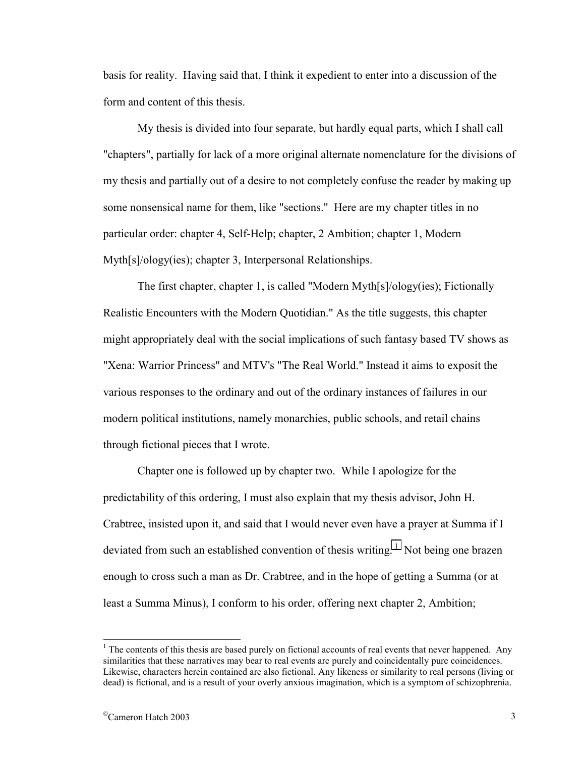basis for reality. Having said that, I think it expedient to enter into a discussion of the form and content of this thesis.

My thesis is divided into four separate, but hardly equal parts, which I shall call "chapters", partially for lack of a more original alternate nomenclature for the divisions of my thesis and partially out of a desire to not completely confuse the reader by making up some nonsensical name for them, like "sections." Here are my chapter titles in no particular order: chapter 4, Self-Help; chapter, 2 Ambition; chapter 1, Modern Myth[s]/ology(ies); chapter 3, Interpersonal Relationships.

The first chapter, chapter 1, is called "Modern Myth[s]/ology(ies); Fictionally Realistic Encounters with the Modern Quotidian." As the title suggests, this chapter might appropriately deal with the social implications of such fantasy based TV shows as "Xena: Warrior Princess" and MTV's "The Real World." Instead it aims to exposit the various responses to the ordinary and out of the ordinary instances of failures in our modern political institutions, namely monarchies, public schools, and retail chains through fictional pieces that I wrote.

Chapter one is followed up by chapter two. While I apologize for the predictability of this ordering, I must also explain that my thesis advisor, John H. Crabtree, insisted upon it, and said that I would never even have a prayer at Summa if I deviated from such an established convention of thesis writing.<sup>1</sup> Not being one brazen enough to cross such a man as Dr. Crabtree, and in the hope of getting a Summa (or at least a Summa Minus), I conform to his order, offering next chapter 2, Ambition;

<sup>&</sup>lt;sup>1</sup> The contents of this thesis are based purely on fictional accounts of real events that never happened. Any similarities that these narratives may bear to real events are purely and coincidentally pure coincidences. Likewise, characters herein contained are also fictional. Any likeness or similarity to real persons (living or dead) is fictional, and is a result of your overly anxious imagination, which is a symptom of schizophrenia.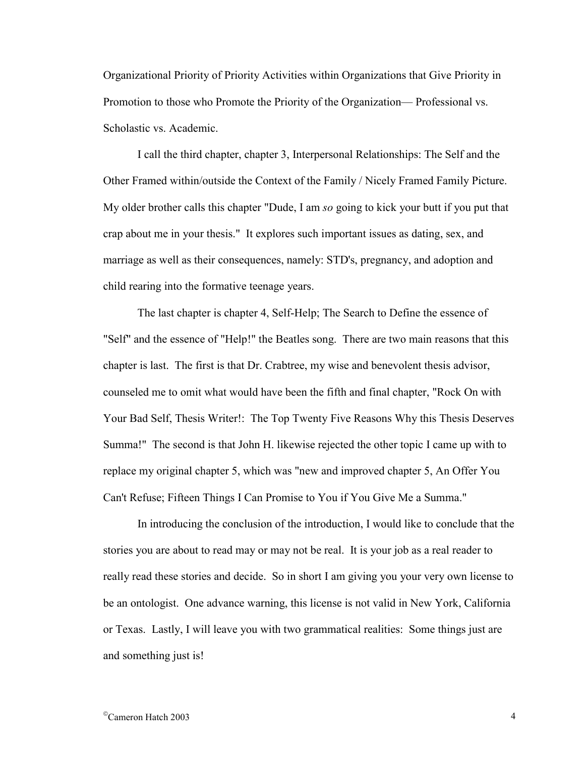Organizational Priority of Priority Activities within Organizations that Give Priority in Promotion to those who Promote the Priority of the Organization— Professional vs. Scholastic vs. Academic.

I call the third chapter, chapter 3, Interpersonal Relationships: The Self and the Other Framed within/outside the Context of the Family / Nicely Framed Family Picture. My older brother calls this chapter "Dude, I am *so* going to kick your butt if you put that crap about me in your thesis." It explores such important issues as dating, sex, and marriage as well as their consequences, namely: STD's, pregnancy, and adoption and child rearing into the formative teenage years.

The last chapter is chapter 4, Self-Help; The Search to Define the essence of "Self" and the essence of "Help!" the Beatles song. There are two main reasons that this chapter is last. The first is that Dr. Crabtree, my wise and benevolent thesis advisor, counseled me to omit what would have been the fifth and final chapter, "Rock On with Your Bad Self, Thesis Writer!: The Top Twenty Five Reasons Why this Thesis Deserves Summa!" The second is that John H. likewise rejected the other topic I came up with to replace my original chapter 5, which was "new and improved chapter 5, An Offer You Can't Refuse; Fifteen Things I Can Promise to You if You Give Me a Summa."

In introducing the conclusion of the introduction, I would like to conclude that the stories you are about to read may or may not be real. It is your job as a real reader to really read these stories and decide. So in short I am giving you your very own license to be an ontologist. One advance warning, this license is not valid in New York, California or Texas. Lastly, I will leave you with two grammatical realities: Some things just are and something just is!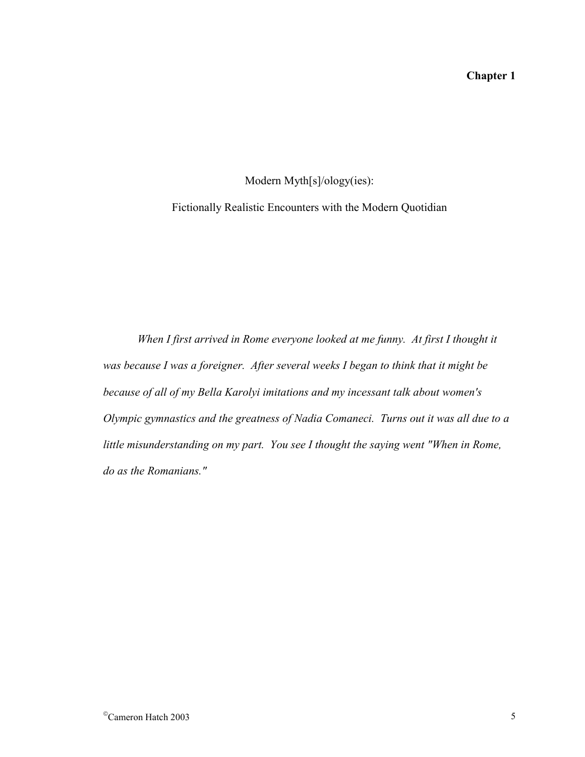# **Chapter 1**

Modern Myth[s]/ology(ies):

Fictionally Realistic Encounters with the Modern Quotidian

When I first arrived in Rome everyone looked at me funny. At first I thought it *was because I was a foreigner. After several weeks I began to think that it might be because of all of my Bella Karolyi imitations and my incessant talk about women's Olympic gymnastics and the greatness of Nadia Comaneci. Turns out it was all due to a little misunderstanding on my part. You see I thought the saying went "When in Rome, do as the Romanians."*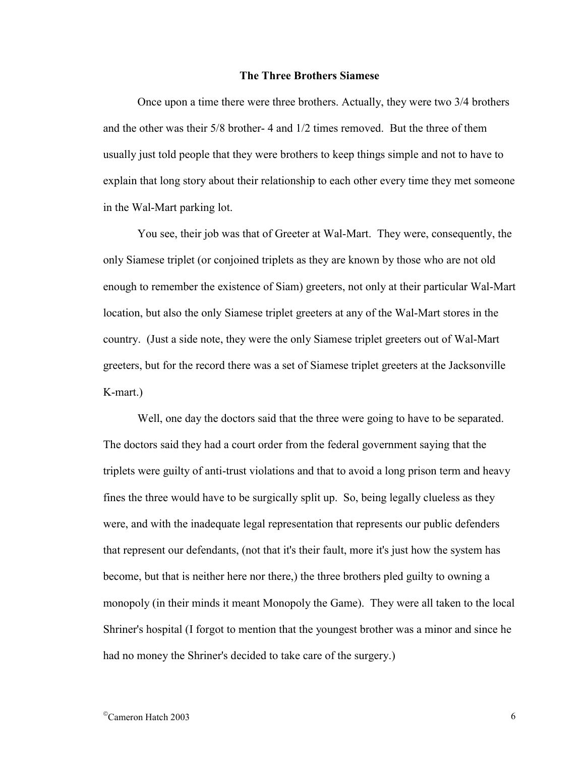#### **The Three Brothers Siamese**

Once upon a time there were three brothers. Actually, they were two 3/4 brothers and the other was their 5/8 brother- 4 and 1/2 times removed. But the three of them usually just told people that they were brothers to keep things simple and not to have to explain that long story about their relationship to each other every time they met someone in the Wal-Mart parking lot.

You see, their job was that of Greeter at Wal-Mart. They were, consequently, the only Siamese triplet (or conjoined triplets as they are known by those who are not old enough to remember the existence of Siam) greeters, not only at their particular Wal-Mart location, but also the only Siamese triplet greeters at any of the Wal-Mart stores in the country. (Just a side note, they were the only Siamese triplet greeters out of Wal-Mart greeters, but for the record there was a set of Siamese triplet greeters at the Jacksonville K-mart.)

Well, one day the doctors said that the three were going to have to be separated. The doctors said they had a court order from the federal government saying that the triplets were guilty of anti-trust violations and that to avoid a long prison term and heavy fines the three would have to be surgically split up. So, being legally clueless as they were, and with the inadequate legal representation that represents our public defenders that represent our defendants, (not that it's their fault, more it's just how the system has become, but that is neither here nor there,) the three brothers pled guilty to owning a monopoly (in their minds it meant Monopoly the Game). They were all taken to the local Shriner's hospital (I forgot to mention that the youngest brother was a minor and since he had no money the Shriner's decided to take care of the surgery.)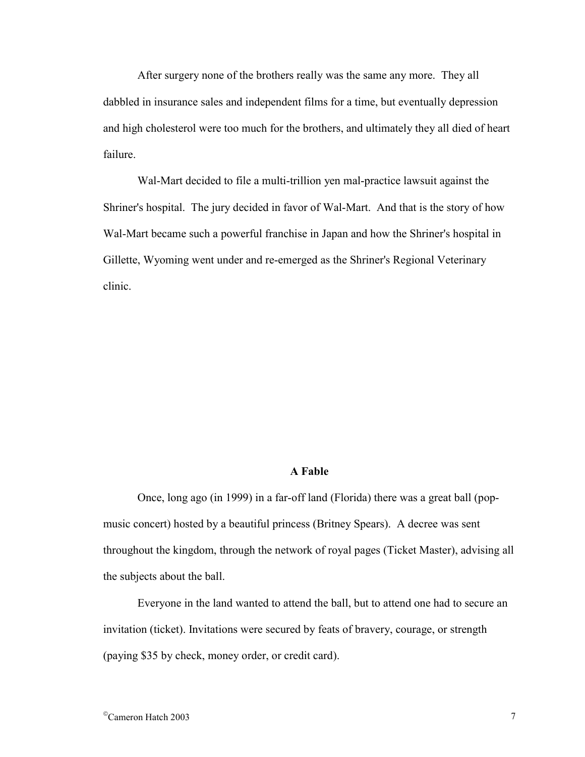After surgery none of the brothers really was the same any more. They all dabbled in insurance sales and independent films for a time, but eventually depression and high cholesterol were too much for the brothers, and ultimately they all died of heart failure.

Wal-Mart decided to file a multi-trillion yen mal-practice lawsuit against the Shriner's hospital. The jury decided in favor of Wal-Mart. And that is the story of how Wal-Mart became such a powerful franchise in Japan and how the Shriner's hospital in Gillette, Wyoming went under and re-emerged as the Shriner's Regional Veterinary clinic.

## **A Fable**

Once, long ago (in 1999) in a far-off land (Florida) there was a great ball (popmusic concert) hosted by a beautiful princess (Britney Spears). A decree was sent throughout the kingdom, through the network of royal pages (Ticket Master), advising all the subjects about the ball.

Everyone in the land wanted to attend the ball, but to attend one had to secure an invitation (ticket). Invitations were secured by feats of bravery, courage, or strength (paying \$35 by check, money order, or credit card).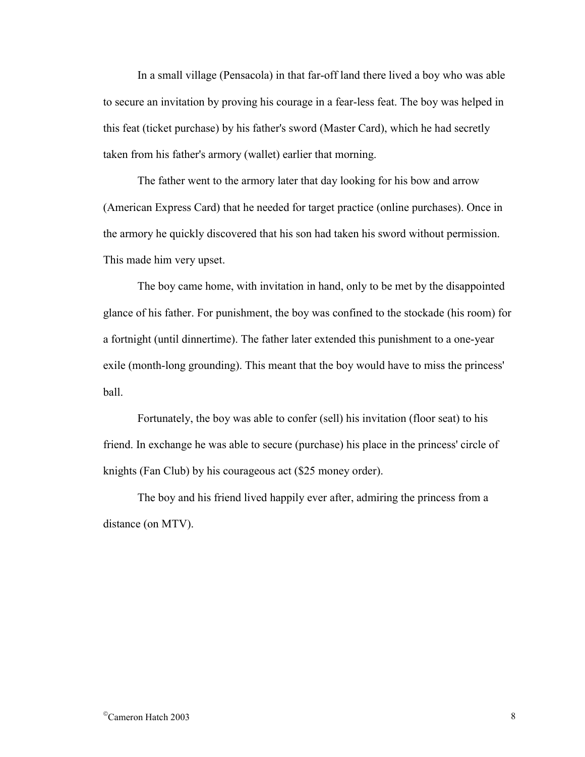In a small village (Pensacola) in that far-off land there lived a boy who was able to secure an invitation by proving his courage in a fear-less feat. The boy was helped in this feat (ticket purchase) by his father's sword (Master Card), which he had secretly taken from his father's armory (wallet) earlier that morning.

The father went to the armory later that day looking for his bow and arrow (American Express Card) that he needed for target practice (online purchases). Once in the armory he quickly discovered that his son had taken his sword without permission. This made him very upset.

The boy came home, with invitation in hand, only to be met by the disappointed glance of his father. For punishment, the boy was confined to the stockade (his room) for a fortnight (until dinnertime). The father later extended this punishment to a one-year exile (month-long grounding). This meant that the boy would have to miss the princess' ball.

Fortunately, the boy was able to confer (sell) his invitation (floor seat) to his friend. In exchange he was able to secure (purchase) his place in the princess' circle of knights (Fan Club) by his courageous act (\$25 money order).

The boy and his friend lived happily ever after, admiring the princess from a distance (on MTV).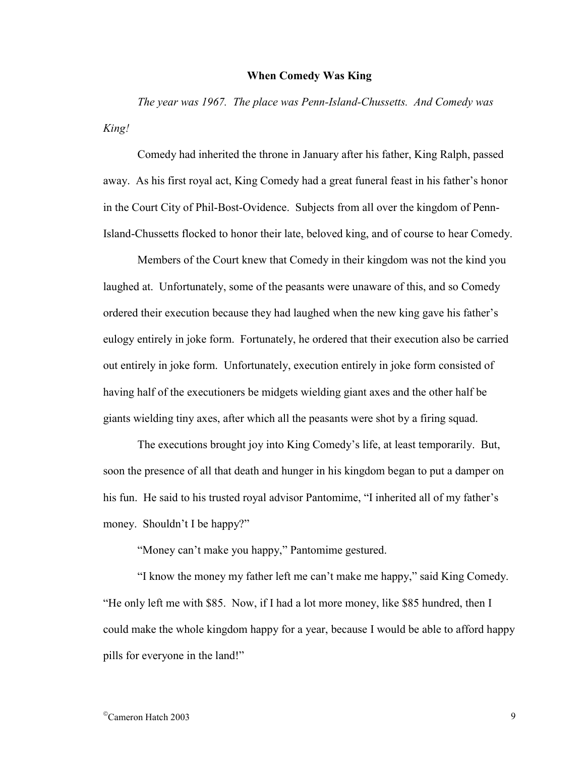## **When Comedy Was King**

*The year was 1967. The place was Penn-Island-Chussetts. And Comedy was King!*

 Comedy had inherited the throne in January after his father, King Ralph, passed away. As his first royal act, King Comedy had a great funeral feast in his father's honor in the Court City of Phil-Bost-Ovidence. Subjects from all over the kingdom of Penn-Island-Chussetts flocked to honor their late, beloved king, and of course to hear Comedy.

 Members of the Court knew that Comedy in their kingdom was not the kind you laughed at. Unfortunately, some of the peasants were unaware of this, and so Comedy ordered their execution because they had laughed when the new king gave his father's eulogy entirely in joke form. Fortunately, he ordered that their execution also be carried out entirely in joke form. Unfortunately, execution entirely in joke form consisted of having half of the executioners be midgets wielding giant axes and the other half be giants wielding tiny axes, after which all the peasants were shot by a firing squad.

 The executions brought joy into King Comedy's life, at least temporarily. But, soon the presence of all that death and hunger in his kingdom began to put a damper on his fun. He said to his trusted royal advisor Pantomime, "I inherited all of my father's money. Shouldn't I be happy?"

"Money can't make you happy," Pantomime gestured.

 "I know the money my father left me can't make me happy," said King Comedy. "He only left me with \$85. Now, if I had a lot more money, like \$85 hundred, then I could make the whole kingdom happy for a year, because I would be able to afford happy pills for everyone in the land!"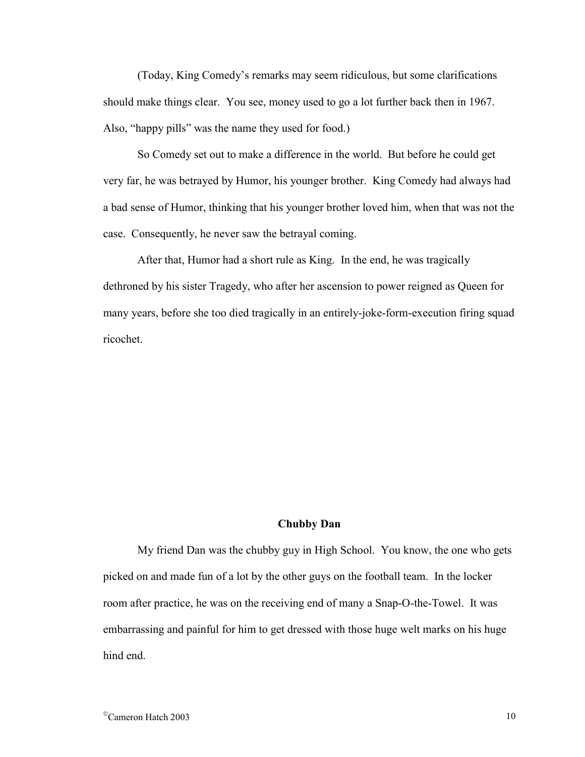(Today, King Comedy's remarks may seem ridiculous, but some clarifications should make things clear. You see, money used to go a lot further back then in 1967. Also, "happy pills" was the name they used for food.)

 So Comedy set out to make a difference in the world. But before he could get very far, he was betrayed by Humor, his younger brother. King Comedy had always had a bad sense of Humor, thinking that his younger brother loved him, when that was not the case. Consequently, he never saw the betrayal coming.

 After that, Humor had a short rule as King. In the end, he was tragically dethroned by his sister Tragedy, who after her ascension to power reigned as Queen for many years, before she too died tragically in an entirely-joke-form-execution firing squad ricochet.

#### **Chubby Dan**

My friend Dan was the chubby guy in High School. You know, the one who gets picked on and made fun of a lot by the other guys on the football team. In the locker room after practice, he was on the receiving end of many a Snap-O-the-Towel. It was embarrassing and painful for him to get dressed with those huge welt marks on his huge hind end.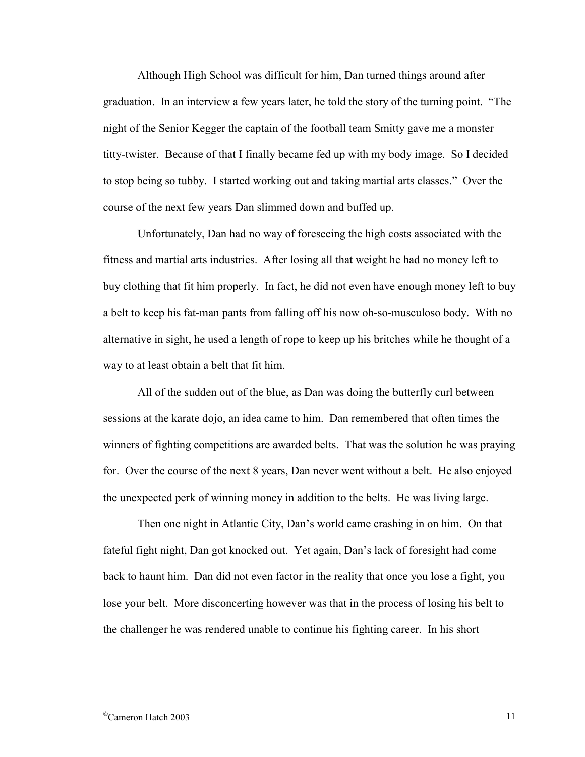Although High School was difficult for him, Dan turned things around after graduation. In an interview a few years later, he told the story of the turning point. "The night of the Senior Kegger the captain of the football team Smitty gave me a monster titty-twister. Because of that I finally became fed up with my body image. So I decided to stop being so tubby. I started working out and taking martial arts classes." Over the course of the next few years Dan slimmed down and buffed up.

Unfortunately, Dan had no way of foreseeing the high costs associated with the fitness and martial arts industries. After losing all that weight he had no money left to buy clothing that fit him properly. In fact, he did not even have enough money left to buy a belt to keep his fat-man pants from falling off his now oh-so-musculoso body. With no alternative in sight, he used a length of rope to keep up his britches while he thought of a way to at least obtain a belt that fit him.

All of the sudden out of the blue, as Dan was doing the butterfly curl between sessions at the karate dojo, an idea came to him. Dan remembered that often times the winners of fighting competitions are awarded belts. That was the solution he was praying for. Over the course of the next 8 years, Dan never went without a belt. He also enjoyed the unexpected perk of winning money in addition to the belts. He was living large.

Then one night in Atlantic City, Dan's world came crashing in on him. On that fateful fight night, Dan got knocked out. Yet again, Dan's lack of foresight had come back to haunt him. Dan did not even factor in the reality that once you lose a fight, you lose your belt. More disconcerting however was that in the process of losing his belt to the challenger he was rendered unable to continue his fighting career. In his short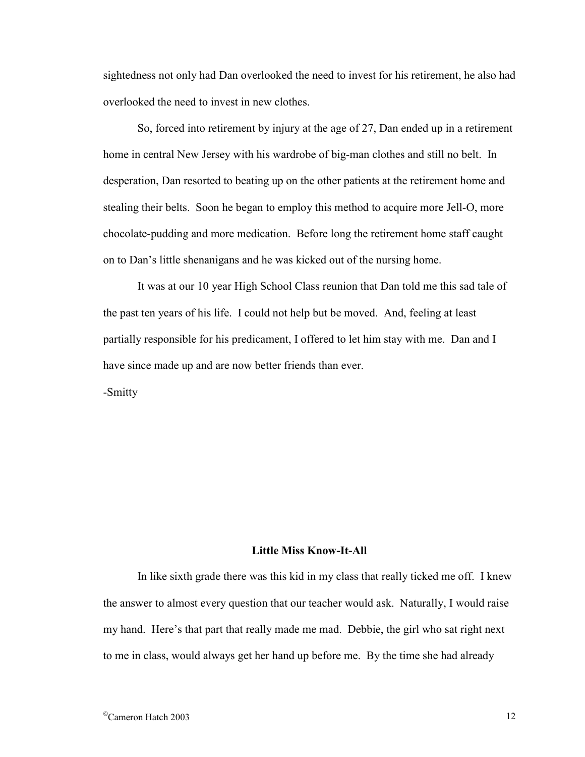sightedness not only had Dan overlooked the need to invest for his retirement, he also had overlooked the need to invest in new clothes.

So, forced into retirement by injury at the age of 27, Dan ended up in a retirement home in central New Jersey with his wardrobe of big-man clothes and still no belt. In desperation, Dan resorted to beating up on the other patients at the retirement home and stealing their belts. Soon he began to employ this method to acquire more Jell-O, more chocolate-pudding and more medication. Before long the retirement home staff caught on to Dan's little shenanigans and he was kicked out of the nursing home.

It was at our 10 year High School Class reunion that Dan told me this sad tale of the past ten years of his life. I could not help but be moved. And, feeling at least partially responsible for his predicament, I offered to let him stay with me. Dan and I have since made up and are now better friends than ever.

-Smitty

#### **Little Miss Know-It-All**

 In like sixth grade there was this kid in my class that really ticked me off. I knew the answer to almost every question that our teacher would ask. Naturally, I would raise my hand. Here's that part that really made me mad. Debbie, the girl who sat right next to me in class, would always get her hand up before me. By the time she had already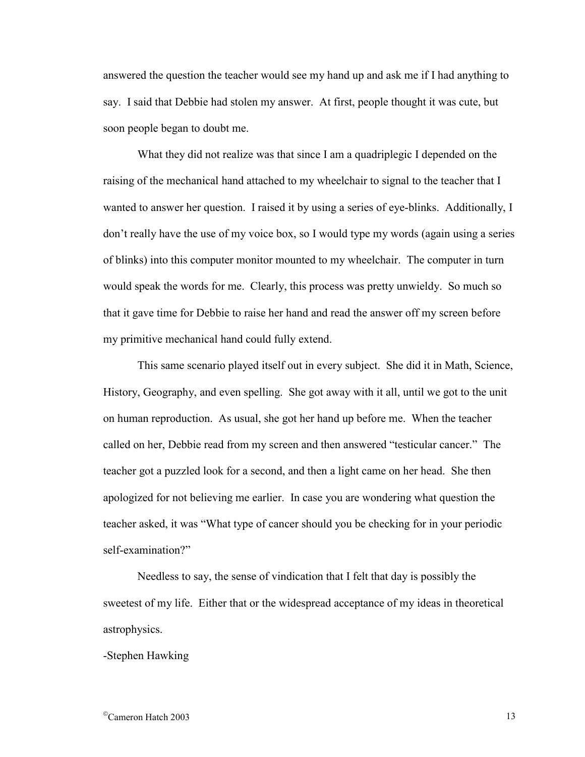answered the question the teacher would see my hand up and ask me if I had anything to say. I said that Debbie had stolen my answer. At first, people thought it was cute, but soon people began to doubt me.

 What they did not realize was that since I am a quadriplegic I depended on the raising of the mechanical hand attached to my wheelchair to signal to the teacher that I wanted to answer her question. I raised it by using a series of eye-blinks. Additionally, I don't really have the use of my voice box, so I would type my words (again using a series of blinks) into this computer monitor mounted to my wheelchair. The computer in turn would speak the words for me. Clearly, this process was pretty unwieldy. So much so that it gave time for Debbie to raise her hand and read the answer off my screen before my primitive mechanical hand could fully extend.

 This same scenario played itself out in every subject. She did it in Math, Science, History, Geography, and even spelling. She got away with it all, until we got to the unit on human reproduction. As usual, she got her hand up before me. When the teacher called on her, Debbie read from my screen and then answered "testicular cancer." The teacher got a puzzled look for a second, and then a light came on her head. She then apologized for not believing me earlier. In case you are wondering what question the teacher asked, it was "What type of cancer should you be checking for in your periodic self-examination?"

 Needless to say, the sense of vindication that I felt that day is possibly the sweetest of my life. Either that or the widespread acceptance of my ideas in theoretical astrophysics.

-Stephen Hawking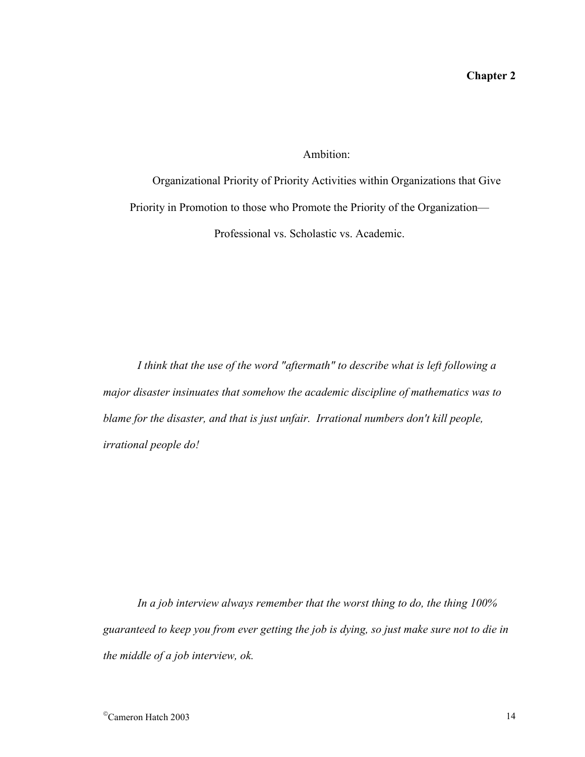# Ambition:

Organizational Priority of Priority Activities within Organizations that Give Priority in Promotion to those who Promote the Priority of the Organization— Professional vs. Scholastic vs. Academic.

*I think that the use of the word "aftermath" to describe what is left following a major disaster insinuates that somehow the academic discipline of mathematics was to blame for the disaster, and that is just unfair. Irrational numbers don't kill people, irrational people do!* 

*In a job interview always remember that the worst thing to do, the thing 100% guaranteed to keep you from ever getting the job is dying, so just make sure not to die in the middle of a job interview, ok.*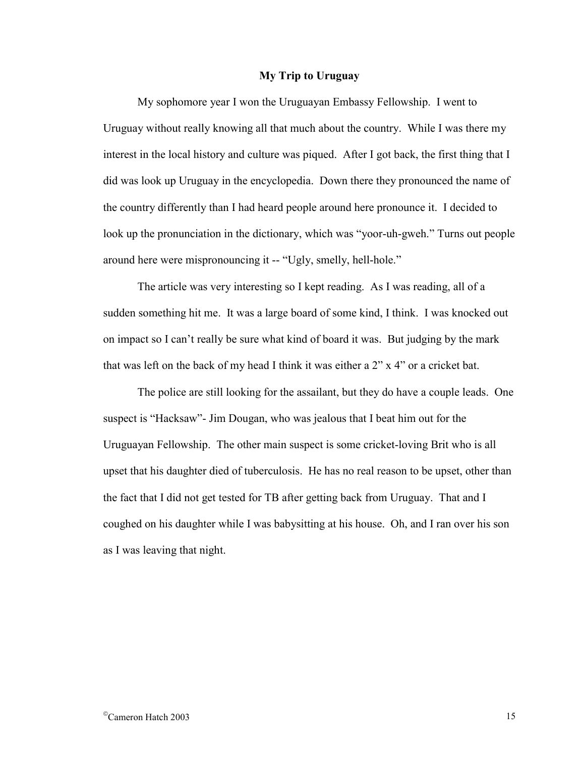## **My Trip to Uruguay**

 My sophomore year I won the Uruguayan Embassy Fellowship. I went to Uruguay without really knowing all that much about the country. While I was there my interest in the local history and culture was piqued. After I got back, the first thing that I did was look up Uruguay in the encyclopedia. Down there they pronounced the name of the country differently than I had heard people around here pronounce it. I decided to look up the pronunciation in the dictionary, which was "yoor-uh-gweh." Turns out people around here were mispronouncing it -- "Ugly, smelly, hell-hole."

 The article was very interesting so I kept reading. As I was reading, all of a sudden something hit me. It was a large board of some kind, I think. I was knocked out on impact so I can't really be sure what kind of board it was. But judging by the mark that was left on the back of my head I think it was either a 2" x 4" or a cricket bat.

 The police are still looking for the assailant, but they do have a couple leads. One suspect is "Hacksaw"- Jim Dougan, who was jealous that I beat him out for the Uruguayan Fellowship. The other main suspect is some cricket-loving Brit who is all upset that his daughter died of tuberculosis. He has no real reason to be upset, other than the fact that I did not get tested for TB after getting back from Uruguay. That and I coughed on his daughter while I was babysitting at his house. Oh, and I ran over his son as I was leaving that night.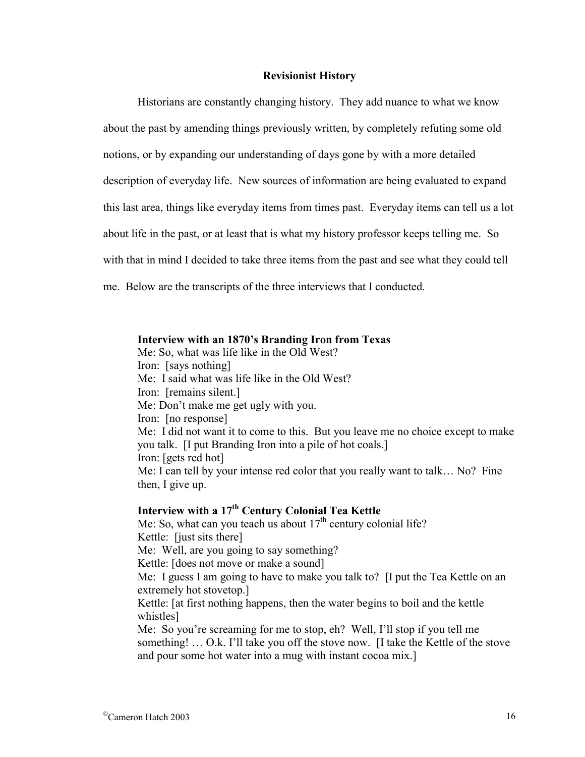## **Revisionist History**

Historians are constantly changing history. They add nuance to what we know about the past by amending things previously written, by completely refuting some old notions, or by expanding our understanding of days gone by with a more detailed description of everyday life. New sources of information are being evaluated to expand this last area, things like everyday items from times past. Everyday items can tell us a lot about life in the past, or at least that is what my history professor keeps telling me. So with that in mind I decided to take three items from the past and see what they could tell me. Below are the transcripts of the three interviews that I conducted.

#### **Interview with an 1870's Branding Iron from Texas**

Me: So, what was life like in the Old West? Iron: [says nothing] Me: I said what was life like in the Old West? Iron: [remains silent.] Me: Don't make me get ugly with you. Iron: [no response] Me: I did not want it to come to this. But you leave me no choice except to make you talk. [I put Branding Iron into a pile of hot coals.] Iron: [gets red hot] Me: I can tell by your intense red color that you really want to talk… No? Fine then, I give up.

# Interview with a 17<sup>th</sup> Century Colonial Tea Kettle

Me: So, what can you teach us about  $17<sup>th</sup>$  century colonial life? Kettle: [just sits there] Me: Well, are you going to say something? Kettle: [does not move or make a sound] Me: I guess I am going to have to make you talk to? [I put the Tea Kettle on an extremely hot stovetop.] Kettle: [at first nothing happens, then the water begins to boil and the kettle whistles] Me: So you're screaming for me to stop, eh? Well, I'll stop if you tell me something! … O.k. I'll take you off the stove now. [I take the Kettle of the stove and pour some hot water into a mug with instant cocoa mix.]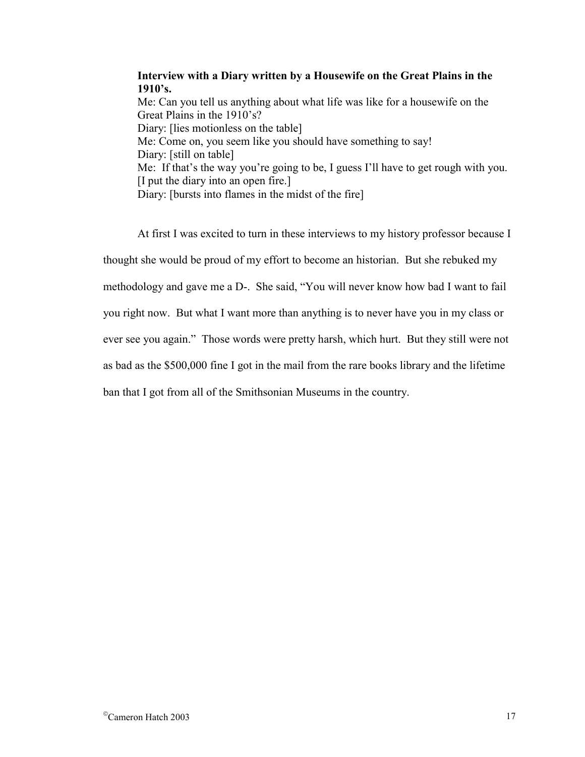**Interview with a Diary written by a Housewife on the Great Plains in the 1910's.**  Me: Can you tell us anything about what life was like for a housewife on the Great Plains in the 1910's? Diary: [lies motionless on the table] Me: Come on, you seem like you should have something to say! Diary: [still on table] Me: If that's the way you're going to be, I guess I'll have to get rough with you. [I put the diary into an open fire.] Diary: [bursts into flames in the midst of the fire]

At first I was excited to turn in these interviews to my history professor because I thought she would be proud of my effort to become an historian. But she rebuked my methodology and gave me a D-. She said, "You will never know how bad I want to fail you right now. But what I want more than anything is to never have you in my class or ever see you again." Those words were pretty harsh, which hurt. But they still were not as bad as the \$500,000 fine I got in the mail from the rare books library and the lifetime ban that I got from all of the Smithsonian Museums in the country.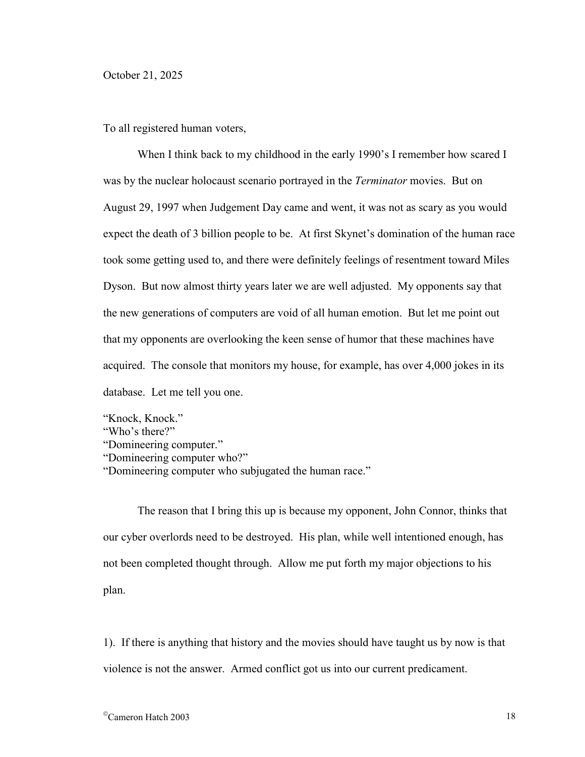To all registered human voters,

When I think back to my childhood in the early 1990's I remember how scared I was by the nuclear holocaust scenario portrayed in the *Terminator* movies. But on August 29, 1997 when Judgement Day came and went, it was not as scary as you would expect the death of 3 billion people to be. At first Skynet's domination of the human race took some getting used to, and there were definitely feelings of resentment toward Miles Dyson. But now almost thirty years later we are well adjusted. My opponents say that the new generations of computers are void of all human emotion. But let me point out that my opponents are overlooking the keen sense of humor that these machines have acquired. The console that monitors my house, for example, has over 4,000 jokes in its database. Let me tell you one.

- "Knock, Knock."
- "Who's there?"
- "Domineering computer."
- "Domineering computer who?"
- "Domineering computer who subjugated the human race."

The reason that I bring this up is because my opponent, John Connor, thinks that our cyber overlords need to be destroyed. His plan, while well intentioned enough, has not been completed thought through. Allow me put forth my major objections to his plan.

1). If there is anything that history and the movies should have taught us by now is that violence is not the answer. Armed conflict got us into our current predicament.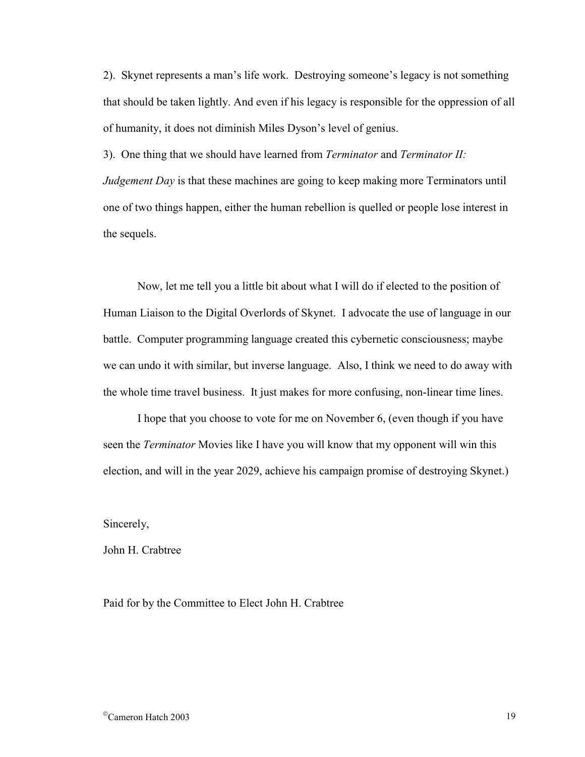2). Skynet represents a man's life work. Destroying someone's legacy is not something that should be taken lightly. And even if his legacy is responsible for the oppression of all of humanity, it does not diminish Miles Dyson's level of genius.

3). One thing that we should have learned from *Terminator* and *Terminator II: Judgement Day* is that these machines are going to keep making more Terminators until one of two things happen, either the human rebellion is quelled or people lose interest in the sequels.

Now, let me tell you a little bit about what I will do if elected to the position of Human Liaison to the Digital Overlords of Skynet. I advocate the use of language in our battle. Computer programming language created this cybernetic consciousness; maybe we can undo it with similar, but inverse language. Also, I think we need to do away with the whole time travel business. It just makes for more confusing, non-linear time lines.

I hope that you choose to vote for me on November 6, (even though if you have seen the *Terminator* Movies like I have you will know that my opponent will win this election, and will in the year 2029, achieve his campaign promise of destroying Skynet.)

Sincerely,

John H. Crabtree

Paid for by the Committee to Elect John H. Crabtree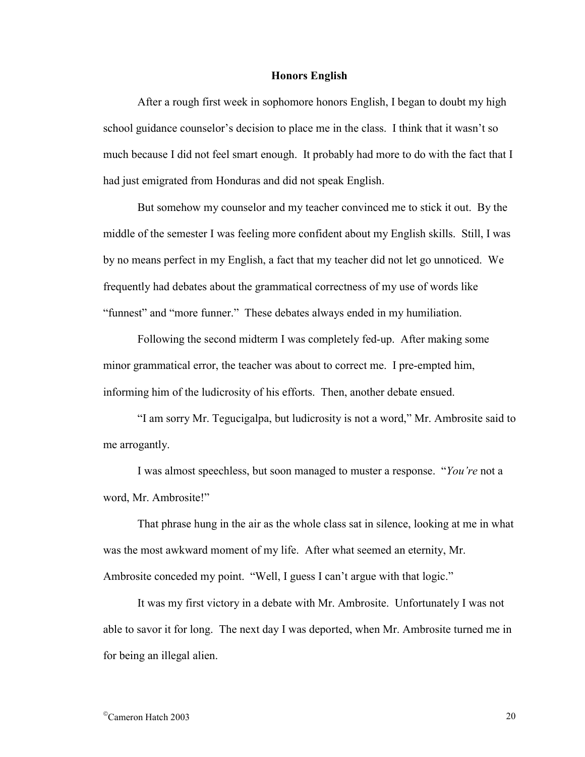## **Honors English**

After a rough first week in sophomore honors English, I began to doubt my high school guidance counselor's decision to place me in the class. I think that it wasn't so much because I did not feel smart enough. It probably had more to do with the fact that I had just emigrated from Honduras and did not speak English.

But somehow my counselor and my teacher convinced me to stick it out. By the middle of the semester I was feeling more confident about my English skills. Still, I was by no means perfect in my English, a fact that my teacher did not let go unnoticed. We frequently had debates about the grammatical correctness of my use of words like "funnest" and "more funner." These debates always ended in my humiliation.

 Following the second midterm I was completely fed-up. After making some minor grammatical error, the teacher was about to correct me. I pre-empted him, informing him of the ludicrosity of his efforts. Then, another debate ensued.

 "I am sorry Mr. Tegucigalpa, but ludicrosity is not a word," Mr. Ambrosite said to me arrogantly.

I was almost speechless, but soon managed to muster a response. "*You're* not a word, Mr. Ambrosite!"

 That phrase hung in the air as the whole class sat in silence, looking at me in what was the most awkward moment of my life. After what seemed an eternity, Mr. Ambrosite conceded my point. "Well, I guess I can't argue with that logic."

 It was my first victory in a debate with Mr. Ambrosite. Unfortunately I was not able to savor it for long. The next day I was deported, when Mr. Ambrosite turned me in for being an illegal alien.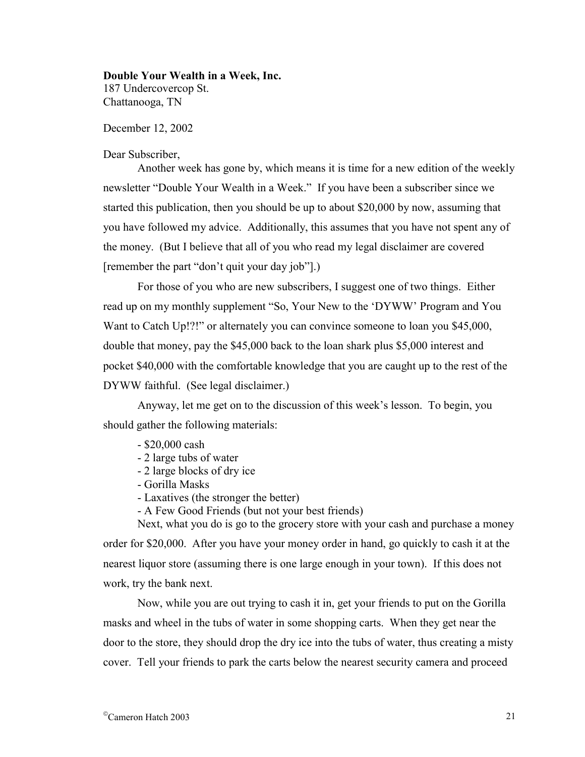#### **Double Your Wealth in a Week, Inc.**

187 Undercovercop St. Chattanooga, TN

December 12, 2002

## Dear Subscriber,

 Another week has gone by, which means it is time for a new edition of the weekly newsletter "Double Your Wealth in a Week." If you have been a subscriber since we started this publication, then you should be up to about \$20,000 by now, assuming that you have followed my advice. Additionally, this assumes that you have not spent any of the money. (But I believe that all of you who read my legal disclaimer are covered [remember the part "don't quit your day job"].)

 For those of you who are new subscribers, I suggest one of two things. Either read up on my monthly supplement "So, Your New to the 'DYWW' Program and You Want to Catch Up!?!" or alternately you can convince someone to loan you \$45,000, double that money, pay the \$45,000 back to the loan shark plus \$5,000 interest and pocket \$40,000 with the comfortable knowledge that you are caught up to the rest of the DYWW faithful. (See legal disclaimer.)

 Anyway, let me get on to the discussion of this week's lesson. To begin, you should gather the following materials:

- \$20,000 cash
- 2 large tubs of water
- 2 large blocks of dry ice
- Gorilla Masks
- Laxatives (the stronger the better)

- A Few Good Friends (but not your best friends)

 Next, what you do is go to the grocery store with your cash and purchase a money order for \$20,000. After you have your money order in hand, go quickly to cash it at the nearest liquor store (assuming there is one large enough in your town). If this does not work, try the bank next.

 Now, while you are out trying to cash it in, get your friends to put on the Gorilla masks and wheel in the tubs of water in some shopping carts. When they get near the door to the store, they should drop the dry ice into the tubs of water, thus creating a misty cover. Tell your friends to park the carts below the nearest security camera and proceed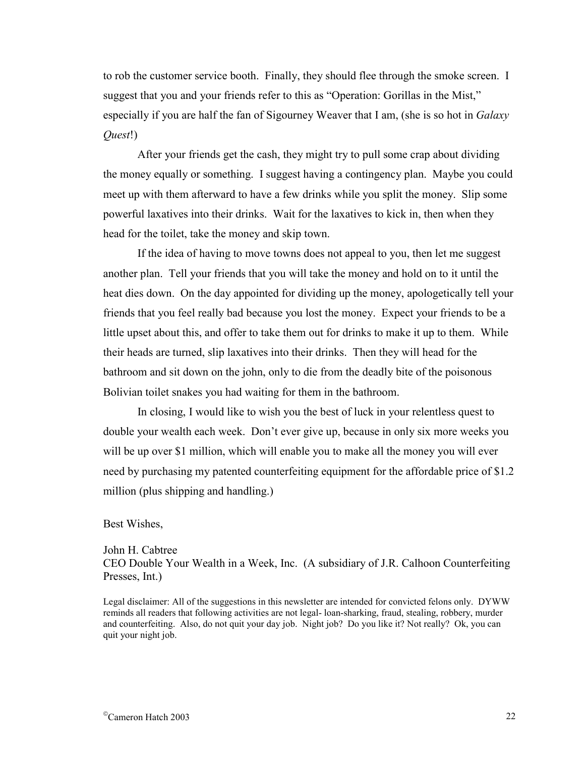to rob the customer service booth. Finally, they should flee through the smoke screen. I suggest that you and your friends refer to this as "Operation: Gorillas in the Mist," especially if you are half the fan of Sigourney Weaver that I am, (she is so hot in *Galaxy Quest*!)

 After your friends get the cash, they might try to pull some crap about dividing the money equally or something. I suggest having a contingency plan. Maybe you could meet up with them afterward to have a few drinks while you split the money. Slip some powerful laxatives into their drinks. Wait for the laxatives to kick in, then when they head for the toilet, take the money and skip town.

 If the idea of having to move towns does not appeal to you, then let me suggest another plan. Tell your friends that you will take the money and hold on to it until the heat dies down. On the day appointed for dividing up the money, apologetically tell your friends that you feel really bad because you lost the money. Expect your friends to be a little upset about this, and offer to take them out for drinks to make it up to them. While their heads are turned, slip laxatives into their drinks. Then they will head for the bathroom and sit down on the john, only to die from the deadly bite of the poisonous Bolivian toilet snakes you had waiting for them in the bathroom.

 In closing, I would like to wish you the best of luck in your relentless quest to double your wealth each week. Don't ever give up, because in only six more weeks you will be up over \$1 million, which will enable you to make all the money you will ever need by purchasing my patented counterfeiting equipment for the affordable price of \$1.2 million (plus shipping and handling.)

#### Best Wishes,

John H. Cabtree CEO Double Your Wealth in a Week, Inc. (A subsidiary of J.R. Calhoon Counterfeiting Presses, Int.)

Legal disclaimer: All of the suggestions in this newsletter are intended for convicted felons only. DYWW reminds all readers that following activities are not legal- loan-sharking, fraud, stealing, robbery, murder and counterfeiting. Also, do not quit your day job. Night job? Do you like it? Not really? Ok, you can quit your night job.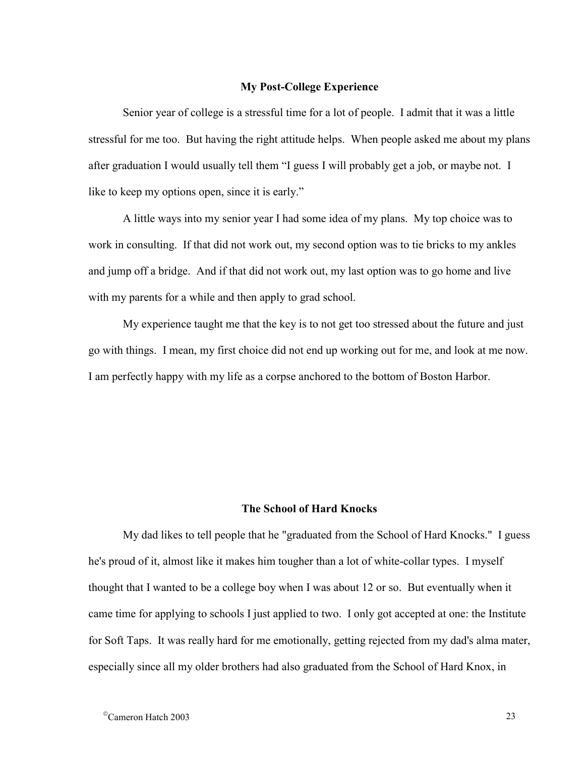## **My Post-College Experience**

Senior year of college is a stressful time for a lot of people. I admit that it was a little stressful for me too. But having the right attitude helps. When people asked me about my plans after graduation I would usually tell them "I guess I will probably get a job, or maybe not. I like to keep my options open, since it is early."

 A little ways into my senior year I had some idea of my plans. My top choice was to work in consulting. If that did not work out, my second option was to tie bricks to my ankles and jump off a bridge. And if that did not work out, my last option was to go home and live with my parents for a while and then apply to grad school.

 My experience taught me that the key is to not get too stressed about the future and just go with things. I mean, my first choice did not end up working out for me, and look at me now. I am perfectly happy with my life as a corpse anchored to the bottom of Boston Harbor.

## **The School of Hard Knocks**

My dad likes to tell people that he "graduated from the School of Hard Knocks." I guess he's proud of it, almost like it makes him tougher than a lot of white-collar types. I myself thought that I wanted to be a college boy when I was about 12 or so. But eventually when it came time for applying to schools I just applied to two. I only got accepted at one: the Institute for Soft Taps. It was really hard for me emotionally, getting rejected from my dad's alma mater, especially since all my older brothers had also graduated from the School of Hard Knox, in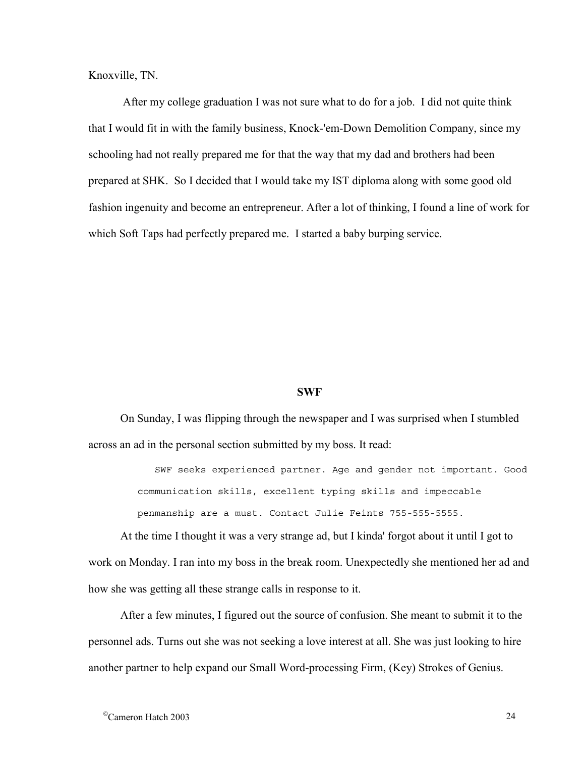Knoxville, TN.

After my college graduation I was not sure what to do for a job. I did not quite think that I would fit in with the family business, Knock-'em-Down Demolition Company, since my schooling had not really prepared me for that the way that my dad and brothers had been prepared at SHK. So I decided that I would take my IST diploma along with some good old fashion ingenuity and become an entrepreneur. After a lot of thinking, I found a line of work for which Soft Taps had perfectly prepared me. I started a baby burping service.

#### **SWF**

On Sunday, I was flipping through the newspaper and I was surprised when I stumbled across an ad in the personal section submitted by my boss. It read:

> SWF seeks experienced partner. Age and gender not important. Good communication skills, excellent typing skills and impeccable penmanship are a must. Contact Julie Feints 755-555-5555.

At the time I thought it was a very strange ad, but I kinda' forgot about it until I got to work on Monday. I ran into my boss in the break room. Unexpectedly she mentioned her ad and how she was getting all these strange calls in response to it.

After a few minutes, I figured out the source of confusion. She meant to submit it to the personnel ads. Turns out she was not seeking a love interest at all. She was just looking to hire another partner to help expand our Small Word-processing Firm, (Key) Strokes of Genius.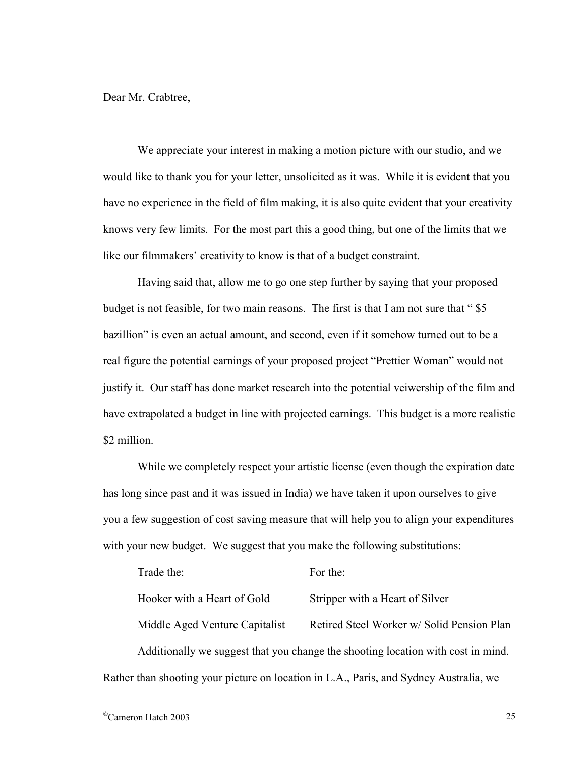Dear Mr. Crabtree,

We appreciate your interest in making a motion picture with our studio, and we would like to thank you for your letter, unsolicited as it was. While it is evident that you have no experience in the field of film making, it is also quite evident that your creativity knows very few limits. For the most part this a good thing, but one of the limits that we like our filmmakers' creativity to know is that of a budget constraint.

Having said that, allow me to go one step further by saying that your proposed budget is not feasible, for two main reasons. The first is that I am not sure that "\$5 bazillion" is even an actual amount, and second, even if it somehow turned out to be a real figure the potential earnings of your proposed project "Prettier Woman" would not justify it. Our staff has done market research into the potential veiwership of the film and have extrapolated a budget in line with projected earnings. This budget is a more realistic \$2 million.

While we completely respect your artistic license (even though the expiration date has long since past and it was issued in India) we have taken it upon ourselves to give you a few suggestion of cost saving measure that will help you to align your expenditures with your new budget. We suggest that you make the following substitutions:

| Trade the:                     | For the:                                                                               |
|--------------------------------|----------------------------------------------------------------------------------------|
| Hooker with a Heart of Gold    | Stripper with a Heart of Silver                                                        |
| Middle Aged Venture Capitalist | Retired Steel Worker w/ Solid Pension Plan                                             |
|                                | Additionally we suggest that you change the shooting location with cost in mind.       |
|                                | Rather than shooting your picture on location in L.A., Paris, and Sydney Australia, we |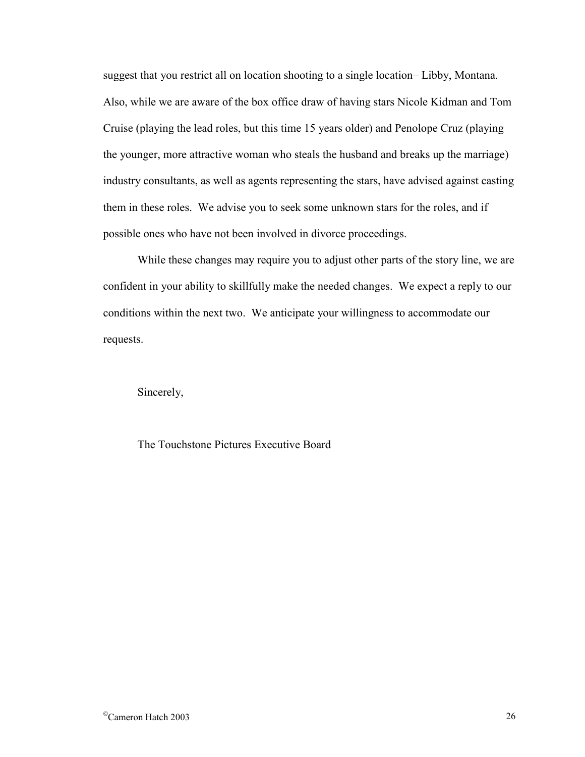suggest that you restrict all on location shooting to a single location– Libby, Montana. Also, while we are aware of the box office draw of having stars Nicole Kidman and Tom Cruise (playing the lead roles, but this time 15 years older) and Penolope Cruz (playing the younger, more attractive woman who steals the husband and breaks up the marriage) industry consultants, as well as agents representing the stars, have advised against casting them in these roles. We advise you to seek some unknown stars for the roles, and if possible ones who have not been involved in divorce proceedings.

While these changes may require you to adjust other parts of the story line, we are confident in your ability to skillfully make the needed changes. We expect a reply to our conditions within the next two. We anticipate your willingness to accommodate our requests.

Sincerely,

The Touchstone Pictures Executive Board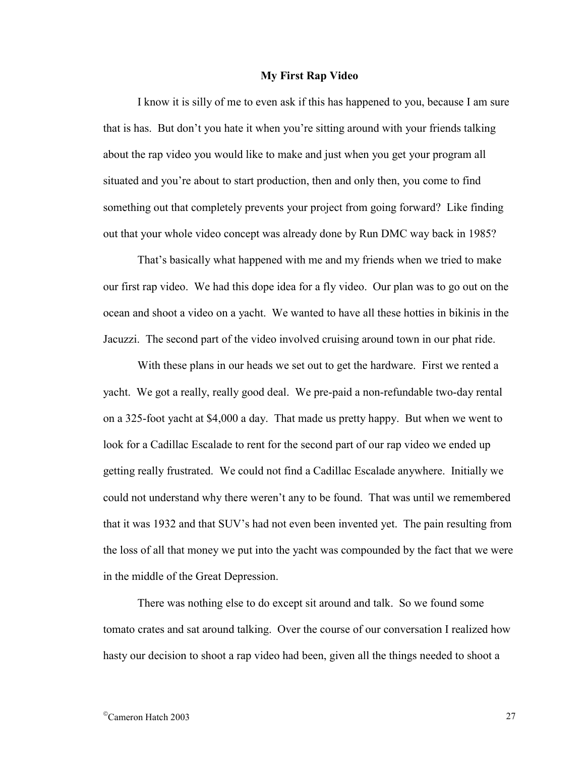#### **My First Rap Video**

I know it is silly of me to even ask if this has happened to you, because I am sure that is has. But don't you hate it when you're sitting around with your friends talking about the rap video you would like to make and just when you get your program all situated and you're about to start production, then and only then, you come to find something out that completely prevents your project from going forward? Like finding out that your whole video concept was already done by Run DMC way back in 1985?

That's basically what happened with me and my friends when we tried to make our first rap video. We had this dope idea for a fly video. Our plan was to go out on the ocean and shoot a video on a yacht. We wanted to have all these hotties in bikinis in the Jacuzzi. The second part of the video involved cruising around town in our phat ride.

With these plans in our heads we set out to get the hardware. First we rented a yacht. We got a really, really good deal. We pre-paid a non-refundable two-day rental on a 325-foot yacht at \$4,000 a day. That made us pretty happy. But when we went to look for a Cadillac Escalade to rent for the second part of our rap video we ended up getting really frustrated. We could not find a Cadillac Escalade anywhere. Initially we could not understand why there weren't any to be found. That was until we remembered that it was 1932 and that SUV's had not even been invented yet. The pain resulting from the loss of all that money we put into the yacht was compounded by the fact that we were in the middle of the Great Depression.

There was nothing else to do except sit around and talk. So we found some tomato crates and sat around talking. Over the course of our conversation I realized how hasty our decision to shoot a rap video had been, given all the things needed to shoot a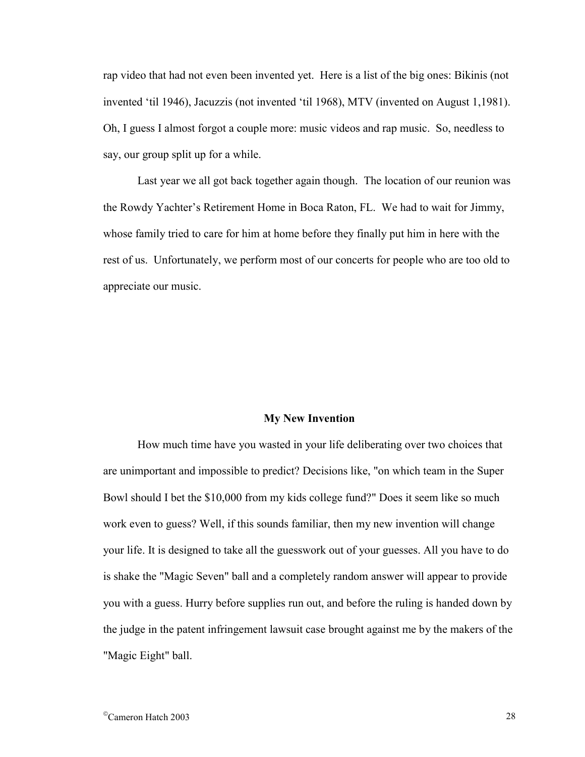rap video that had not even been invented yet. Here is a list of the big ones: Bikinis (not invented 'til 1946), Jacuzzis (not invented 'til 1968), MTV (invented on August 1,1981). Oh, I guess I almost forgot a couple more: music videos and rap music. So, needless to say, our group split up for a while.

Last year we all got back together again though. The location of our reunion was the Rowdy Yachter's Retirement Home in Boca Raton, FL. We had to wait for Jimmy, whose family tried to care for him at home before they finally put him in here with the rest of us. Unfortunately, we perform most of our concerts for people who are too old to appreciate our music.

#### **My New Invention**

How much time have you wasted in your life deliberating over two choices that are unimportant and impossible to predict? Decisions like, "on which team in the Super Bowl should I bet the \$10,000 from my kids college fund?" Does it seem like so much work even to guess? Well, if this sounds familiar, then my new invention will change your life. It is designed to take all the guesswork out of your guesses. All you have to do is shake the "Magic Seven" ball and a completely random answer will appear to provide you with a guess. Hurry before supplies run out, and before the ruling is handed down by the judge in the patent infringement lawsuit case brought against me by the makers of the "Magic Eight" ball.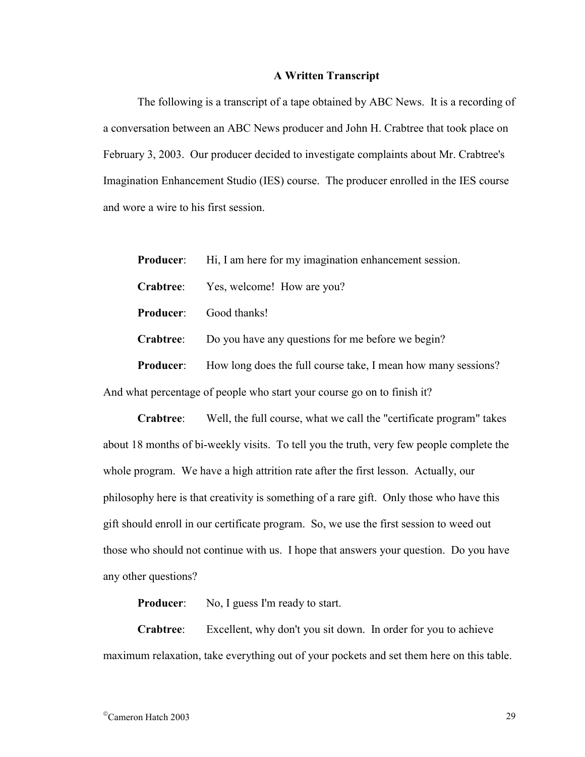## **A Written Transcript**

The following is a transcript of a tape obtained by ABC News. It is a recording of a conversation between an ABC News producer and John H. Crabtree that took place on February 3, 2003. Our producer decided to investigate complaints about Mr. Crabtree's Imagination Enhancement Studio (IES) course. The producer enrolled in the IES course and wore a wire to his first session.

| <b>Producer:</b> | Hi, I am here for my imagination enhancement session.         |
|------------------|---------------------------------------------------------------|
| Crabtree:        | Yes, welcome! How are you?                                    |
| <b>Producer:</b> | Good thanks!                                                  |
| Crabtree:        | Do you have any questions for me before we begin?             |
| <b>Producer:</b> | How long does the full course take, I mean how many sessions? |
|                  |                                                               |

And what percentage of people who start your course go on to finish it?

**Crabtree**: Well, the full course, what we call the "certificate program" takes about 18 months of bi-weekly visits. To tell you the truth, very few people complete the whole program. We have a high attrition rate after the first lesson. Actually, our philosophy here is that creativity is something of a rare gift. Only those who have this gift should enroll in our certificate program. So, we use the first session to weed out those who should not continue with us. I hope that answers your question. Do you have any other questions?

**Producer:** No, I guess I'm ready to start.

**Crabtree**: Excellent, why don't you sit down. In order for you to achieve maximum relaxation, take everything out of your pockets and set them here on this table.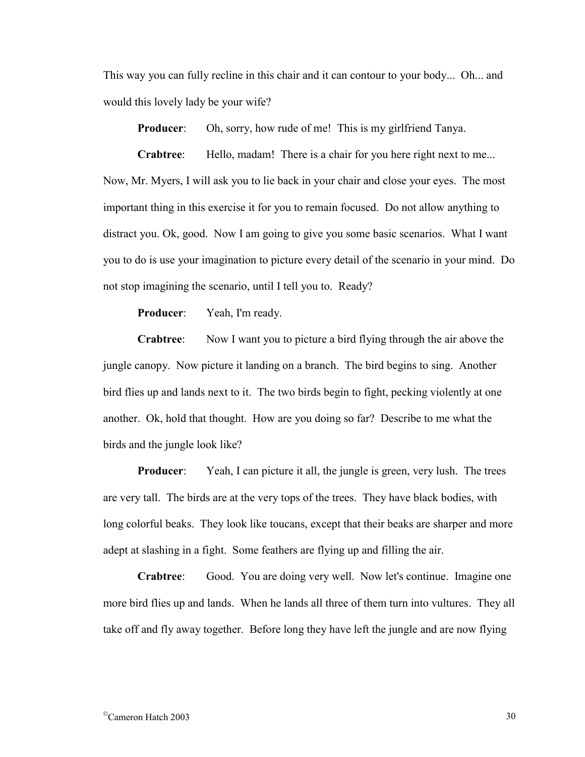This way you can fully recline in this chair and it can contour to your body... Oh... and would this lovely lady be your wife?

**Producer:** Oh, sorry, how rude of me! This is my girlfriend Tanya.

**Crabtree:** Hello, madam! There is a chair for you here right next to me... Now, Mr. Myers, I will ask you to lie back in your chair and close your eyes. The most important thing in this exercise it for you to remain focused. Do not allow anything to distract you. Ok, good. Now I am going to give you some basic scenarios. What I want you to do is use your imagination to picture every detail of the scenario in your mind. Do not stop imagining the scenario, until I tell you to. Ready?

**Producer**: Yeah, I'm ready.

**Crabtree**: Now I want you to picture a bird flying through the air above the jungle canopy. Now picture it landing on a branch. The bird begins to sing. Another bird flies up and lands next to it. The two birds begin to fight, pecking violently at one another. Ok, hold that thought. How are you doing so far? Describe to me what the birds and the jungle look like?

**Producer:** Yeah, I can picture it all, the jungle is green, very lush. The trees are very tall. The birds are at the very tops of the trees. They have black bodies, with long colorful beaks. They look like toucans, except that their beaks are sharper and more adept at slashing in a fight. Some feathers are flying up and filling the air.

**Crabtree**: Good. You are doing very well. Now let's continue. Imagine one more bird flies up and lands. When he lands all three of them turn into vultures. They all take off and fly away together. Before long they have left the jungle and are now flying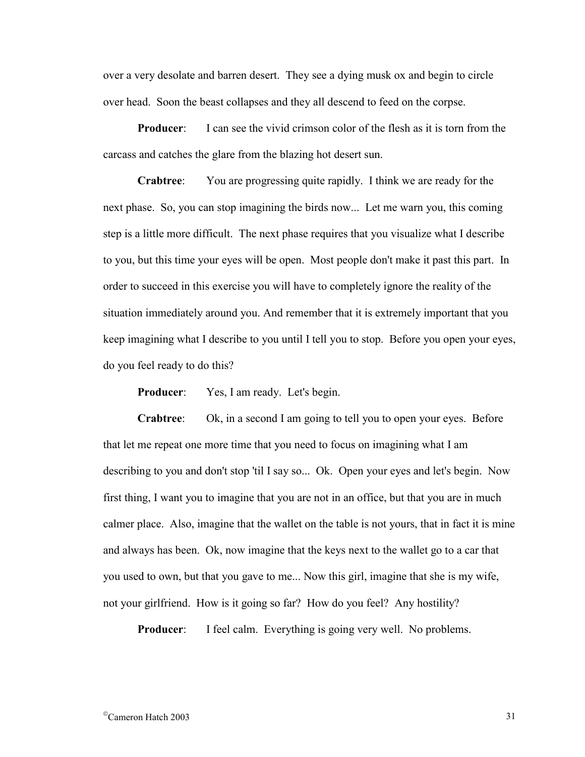over a very desolate and barren desert. They see a dying musk ox and begin to circle over head. Soon the beast collapses and they all descend to feed on the corpse.

**Producer:** I can see the vivid crimson color of the flesh as it is torn from the carcass and catches the glare from the blazing hot desert sun.

**Crabtree**: You are progressing quite rapidly. I think we are ready for the next phase. So, you can stop imagining the birds now... Let me warn you, this coming step is a little more difficult. The next phase requires that you visualize what I describe to you, but this time your eyes will be open. Most people don't make it past this part. In order to succeed in this exercise you will have to completely ignore the reality of the situation immediately around you. And remember that it is extremely important that you keep imagining what I describe to you until I tell you to stop. Before you open your eyes, do you feel ready to do this?

**Producer:** Yes, I am ready. Let's begin.

**Crabtree**: Ok, in a second I am going to tell you to open your eyes. Before that let me repeat one more time that you need to focus on imagining what I am describing to you and don't stop 'til I say so... Ok. Open your eyes and let's begin. Now first thing, I want you to imagine that you are not in an office, but that you are in much calmer place. Also, imagine that the wallet on the table is not yours, that in fact it is mine and always has been. Ok, now imagine that the keys next to the wallet go to a car that you used to own, but that you gave to me... Now this girl, imagine that she is my wife, not your girlfriend. How is it going so far? How do you feel? Any hostility?

**Producer:** I feel calm. Everything is going very well. No problems.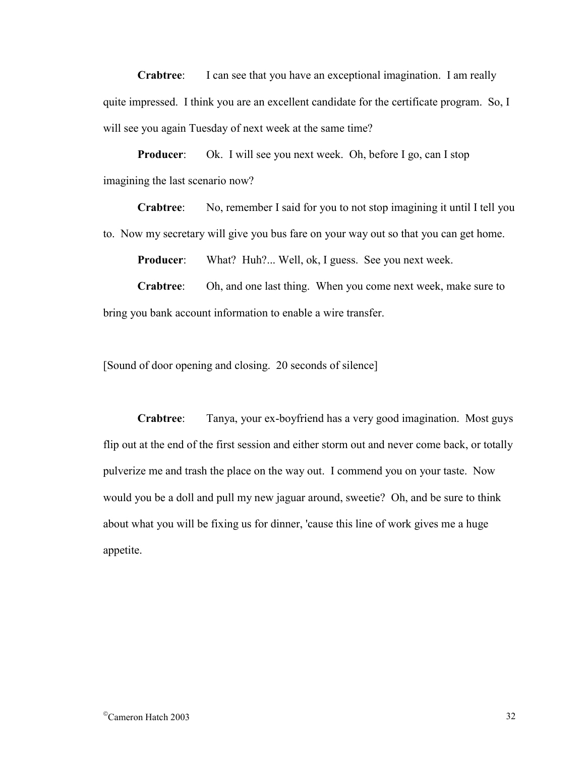**Crabtree**: I can see that you have an exceptional imagination. I am really quite impressed. I think you are an excellent candidate for the certificate program. So, I will see you again Tuesday of next week at the same time?

**Producer:** Ok. I will see you next week. Oh, before I go, can I stop imagining the last scenario now?

**Crabtree**: No, remember I said for you to not stop imagining it until I tell you to. Now my secretary will give you bus fare on your way out so that you can get home.

**Producer:** What? Huh?... Well, ok, I guess. See you next week.

**Crabtree**: Oh, and one last thing. When you come next week, make sure to bring you bank account information to enable a wire transfer.

[Sound of door opening and closing. 20 seconds of silence]

**Crabtree**: Tanya, your ex-boyfriend has a very good imagination. Most guys flip out at the end of the first session and either storm out and never come back, or totally pulverize me and trash the place on the way out. I commend you on your taste. Now would you be a doll and pull my new jaguar around, sweetie? Oh, and be sure to think about what you will be fixing us for dinner, 'cause this line of work gives me a huge appetite.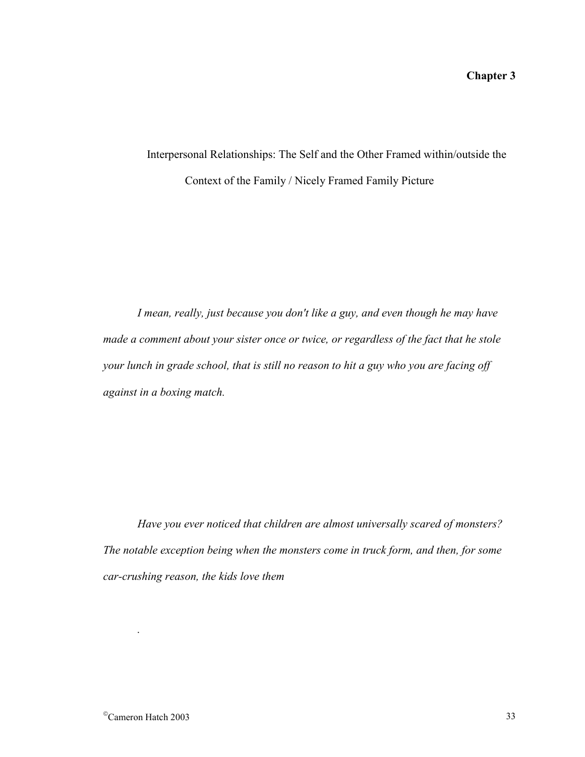# Interpersonal Relationships: The Self and the Other Framed within/outside the Context of the Family / Nicely Framed Family Picture

*I mean, really, just because you don't like a guy, and even though he may have made a comment about your sister once or twice, or regardless of the fact that he stole your lunch in grade school, that is still no reason to hit a guy who you are facing off against in a boxing match.* 

*Have you ever noticed that children are almost universally scared of monsters? The notable exception being when the monsters come in truck form, and then, for some car-crushing reason, the kids love them* 

*.*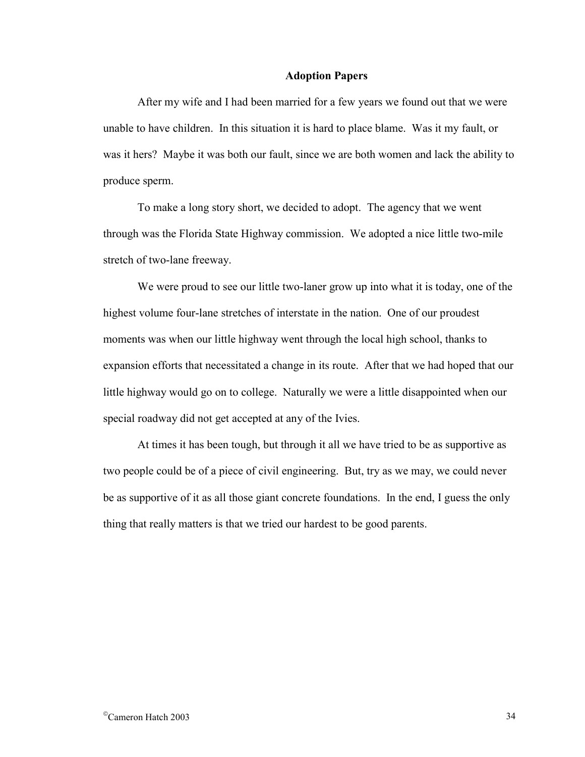## **Adoption Papers**

After my wife and I had been married for a few years we found out that we were unable to have children. In this situation it is hard to place blame. Was it my fault, or was it hers? Maybe it was both our fault, since we are both women and lack the ability to produce sperm.

To make a long story short, we decided to adopt. The agency that we went through was the Florida State Highway commission. We adopted a nice little two-mile stretch of two-lane freeway.

We were proud to see our little two-laner grow up into what it is today, one of the highest volume four-lane stretches of interstate in the nation. One of our proudest moments was when our little highway went through the local high school, thanks to expansion efforts that necessitated a change in its route. After that we had hoped that our little highway would go on to college. Naturally we were a little disappointed when our special roadway did not get accepted at any of the Ivies.

At times it has been tough, but through it all we have tried to be as supportive as two people could be of a piece of civil engineering. But, try as we may, we could never be as supportive of it as all those giant concrete foundations. In the end, I guess the only thing that really matters is that we tried our hardest to be good parents.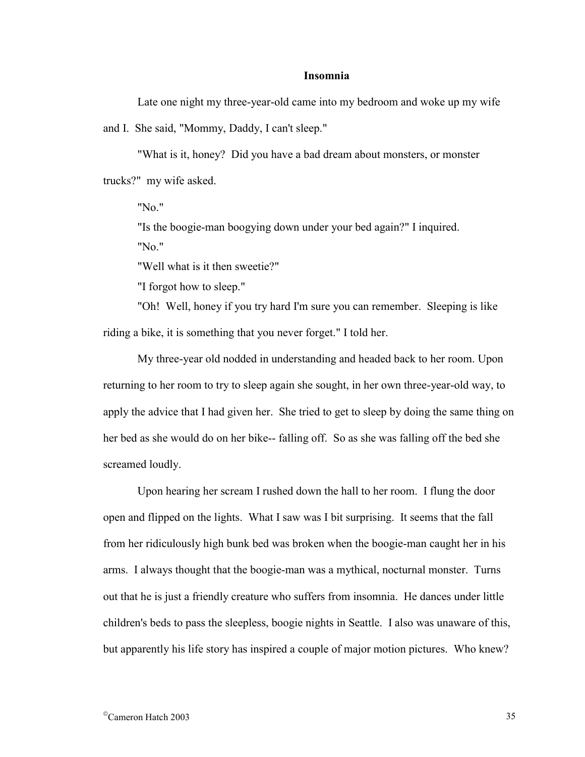## **Insomnia**

Late one night my three-year-old came into my bedroom and woke up my wife

and I. She said, "Mommy, Daddy, I can't sleep."

"What is it, honey? Did you have a bad dream about monsters, or monster trucks?" my wife asked.

"No."

"Is the boogie-man boogying down under your bed again?" I inquired. "No."

"Well what is it then sweetie?"

"I forgot how to sleep."

"Oh! Well, honey if you try hard I'm sure you can remember. Sleeping is like riding a bike, it is something that you never forget." I told her.

My three-year old nodded in understanding and headed back to her room. Upon returning to her room to try to sleep again she sought, in her own three-year-old way, to apply the advice that I had given her. She tried to get to sleep by doing the same thing on her bed as she would do on her bike-- falling off. So as she was falling off the bed she screamed loudly.

Upon hearing her scream I rushed down the hall to her room. I flung the door open and flipped on the lights. What I saw was I bit surprising. It seems that the fall from her ridiculously high bunk bed was broken when the boogie-man caught her in his arms. I always thought that the boogie-man was a mythical, nocturnal monster. Turns out that he is just a friendly creature who suffers from insomnia. He dances under little children's beds to pass the sleepless, boogie nights in Seattle. I also was unaware of this, but apparently his life story has inspired a couple of major motion pictures. Who knew?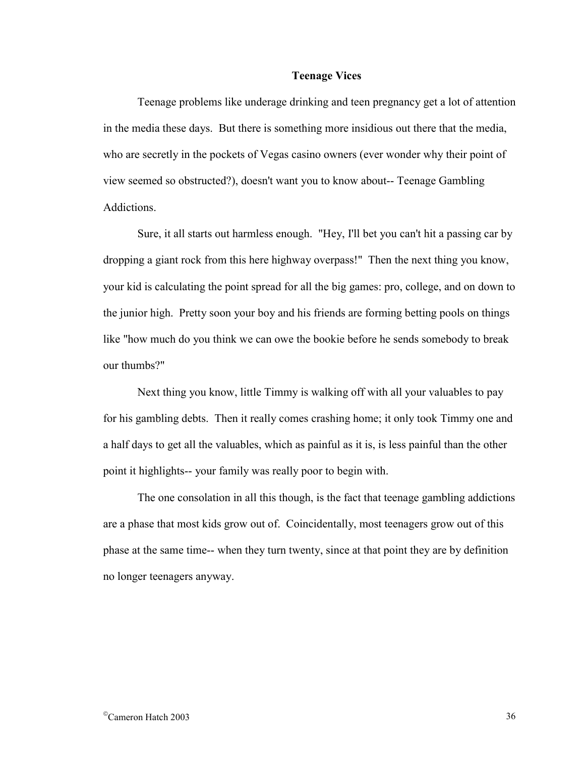#### **Teenage Vices**

Teenage problems like underage drinking and teen pregnancy get a lot of attention in the media these days. But there is something more insidious out there that the media, who are secretly in the pockets of Vegas casino owners (ever wonder why their point of view seemed so obstructed?), doesn't want you to know about-- Teenage Gambling **Addictions** 

Sure, it all starts out harmless enough. "Hey, I'll bet you can't hit a passing car by dropping a giant rock from this here highway overpass!" Then the next thing you know, your kid is calculating the point spread for all the big games: pro, college, and on down to the junior high. Pretty soon your boy and his friends are forming betting pools on things like "how much do you think we can owe the bookie before he sends somebody to break our thumbs?"

Next thing you know, little Timmy is walking off with all your valuables to pay for his gambling debts. Then it really comes crashing home; it only took Timmy one and a half days to get all the valuables, which as painful as it is, is less painful than the other point it highlights-- your family was really poor to begin with.

The one consolation in all this though, is the fact that teenage gambling addictions are a phase that most kids grow out of. Coincidentally, most teenagers grow out of this phase at the same time-- when they turn twenty, since at that point they are by definition no longer teenagers anyway.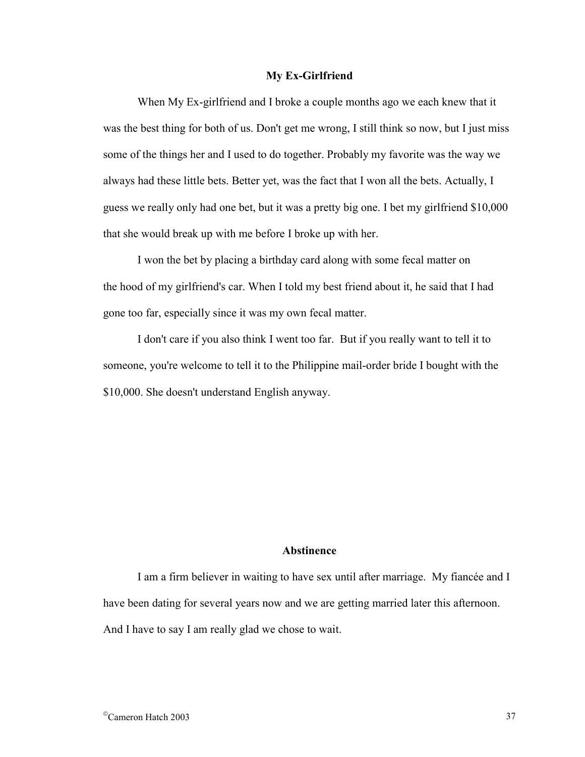#### **My Ex-Girlfriend**

When My Ex-girlfriend and I broke a couple months ago we each knew that it was the best thing for both of us. Don't get me wrong, I still think so now, but I just miss some of the things her and I used to do together. Probably my favorite was the way we always had these little bets. Better yet, was the fact that I won all the bets. Actually, I guess we really only had one bet, but it was a pretty big one. I bet my girlfriend \$10,000 that she would break up with me before I broke up with her.

I won the bet by placing a birthday card along with some fecal matter on the hood of my girlfriend's car. When I told my best friend about it, he said that I had gone too far, especially since it was my own fecal matter.

I don't care if you also think I went too far. But if you really want to tell it to someone, you're welcome to tell it to the Philippine mail-order bride I bought with the \$10,000. She doesn't understand English anyway.

## **Abstinence**

I am a firm believer in waiting to have sex until after marriage. My fiancée and I have been dating for several years now and we are getting married later this afternoon. And I have to say I am really glad we chose to wait.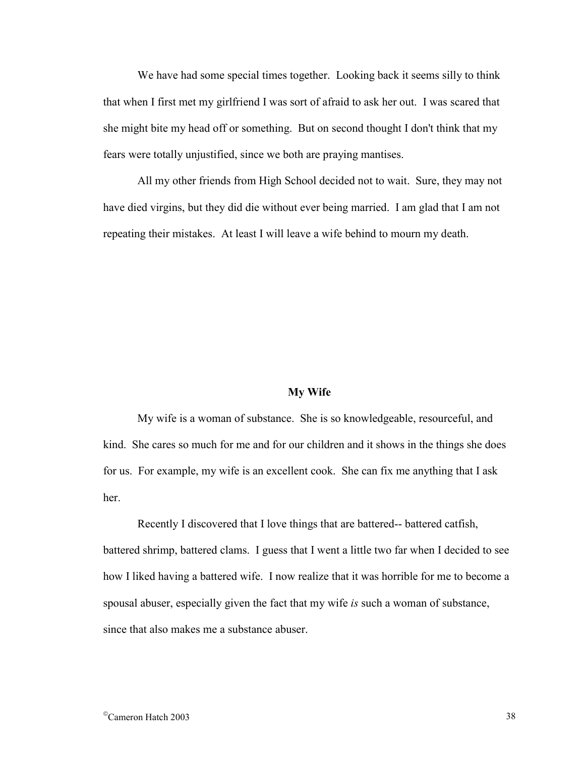We have had some special times together. Looking back it seems silly to think that when I first met my girlfriend I was sort of afraid to ask her out. I was scared that she might bite my head off or something. But on second thought I don't think that my fears were totally unjustified, since we both are praying mantises.

All my other friends from High School decided not to wait. Sure, they may not have died virgins, but they did die without ever being married. I am glad that I am not repeating their mistakes. At least I will leave a wife behind to mourn my death.

#### **My Wife**

My wife is a woman of substance. She is so knowledgeable, resourceful, and kind. She cares so much for me and for our children and it shows in the things she does for us. For example, my wife is an excellent cook. She can fix me anything that I ask her.

Recently I discovered that I love things that are battered-- battered catfish, battered shrimp, battered clams. I guess that I went a little two far when I decided to see how I liked having a battered wife. I now realize that it was horrible for me to become a spousal abuser, especially given the fact that my wife *is* such a woman of substance, since that also makes me a substance abuser.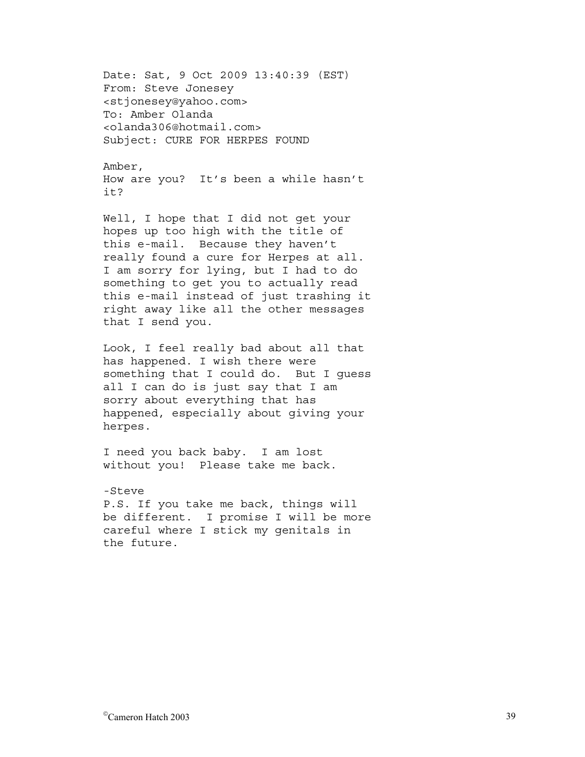Date: Sat, 9 Oct 2009 13:40:39 (EST) From: Steve Jonesey <stjonesey@yahoo.com> To: Amber Olanda <olanda306@hotmail.com> Subject: CURE FOR HERPES FOUND

Amber, How are you? It's been a while hasn't it?

Well, I hope that I did not get your hopes up too high with the title of this e-mail. Because they haven't really found a cure for Herpes at all. I am sorry for lying, but I had to do something to get you to actually read this e-mail instead of just trashing it right away like all the other messages that I send you.

Look, I feel really bad about all that has happened. I wish there were something that I could do. But I guess all I can do is just say that I am sorry about everything that has happened, especially about giving your herpes.

I need you back baby. I am lost without you! Please take me back.

-Steve P.S. If you take me back, things will be different. I promise I will be more careful where I stick my genitals in the future.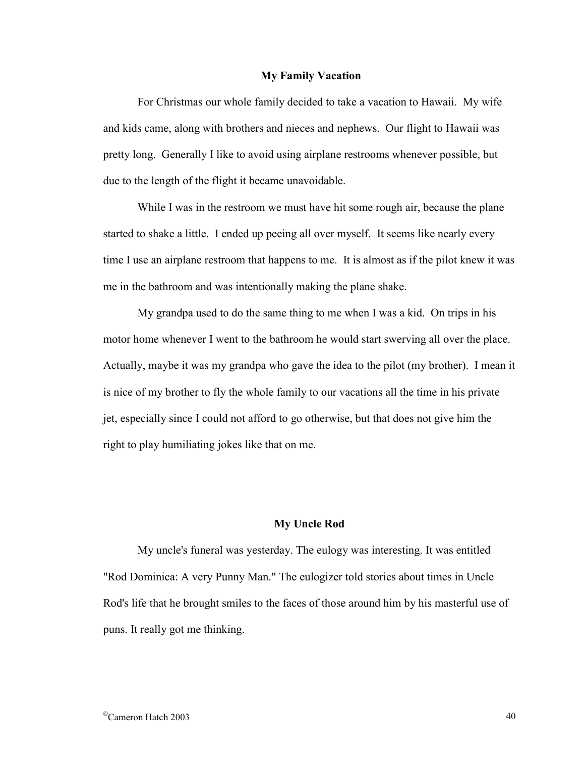#### **My Family Vacation**

 For Christmas our whole family decided to take a vacation to Hawaii. My wife and kids came, along with brothers and nieces and nephews. Our flight to Hawaii was pretty long. Generally I like to avoid using airplane restrooms whenever possible, but due to the length of the flight it became unavoidable.

 While I was in the restroom we must have hit some rough air, because the plane started to shake a little. I ended up peeing all over myself. It seems like nearly every time I use an airplane restroom that happens to me. It is almost as if the pilot knew it was me in the bathroom and was intentionally making the plane shake.

 My grandpa used to do the same thing to me when I was a kid. On trips in his motor home whenever I went to the bathroom he would start swerving all over the place. Actually, maybe it was my grandpa who gave the idea to the pilot (my brother). I mean it is nice of my brother to fly the whole family to our vacations all the time in his private jet, especially since I could not afford to go otherwise, but that does not give him the right to play humiliating jokes like that on me.

## **My Uncle Rod**

My uncle's funeral was yesterday. The eulogy was interesting. It was entitled "Rod Dominica: A very Punny Man." The eulogizer told stories about times in Uncle Rod's life that he brought smiles to the faces of those around him by his masterful use of puns. It really got me thinking.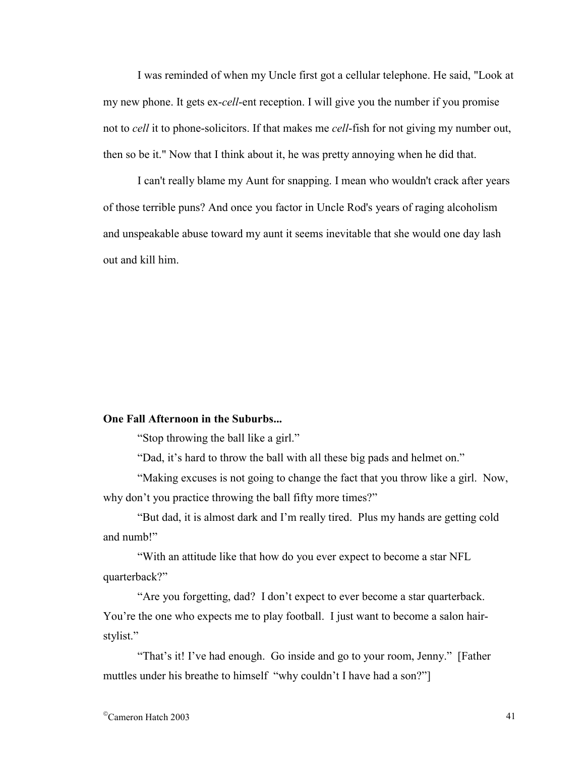I was reminded of when my Uncle first got a cellular telephone. He said, "Look at my new phone. It gets ex-*cell*-ent reception. I will give you the number if you promise not to *cell* it to phone-solicitors. If that makes me *cell*-fish for not giving my number out, then so be it." Now that I think about it, he was pretty annoying when he did that.

I can't really blame my Aunt for snapping. I mean who wouldn't crack after years of those terrible puns? And once you factor in Uncle Rod's years of raging alcoholism and unspeakable abuse toward my aunt it seems inevitable that she would one day lash out and kill him.

#### **One Fall Afternoon in the Suburbs...**

"Stop throwing the ball like a girl."

"Dad, it's hard to throw the ball with all these big pads and helmet on."

 "Making excuses is not going to change the fact that you throw like a girl. Now, why don't you practice throwing the ball fifty more times?"

 "But dad, it is almost dark and I'm really tired. Plus my hands are getting cold and numb!"

 "With an attitude like that how do you ever expect to become a star NFL quarterback?"

 "Are you forgetting, dad? I don't expect to ever become a star quarterback. You're the one who expects me to play football. I just want to become a salon hairstylist."

 "That's it! I've had enough. Go inside and go to your room, Jenny." [Father muttles under his breathe to himself "why couldn't I have had a son?"]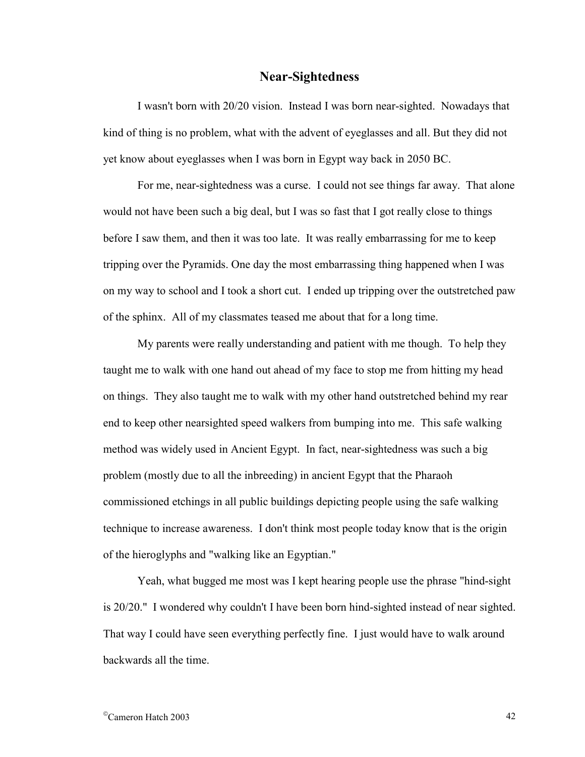## **Near-Sightedness**

I wasn't born with 20/20 vision. Instead I was born near-sighted. Nowadays that kind of thing is no problem, what with the advent of eyeglasses and all. But they did not yet know about eyeglasses when I was born in Egypt way back in 2050 BC.

 For me, near-sightedness was a curse. I could not see things far away. That alone would not have been such a big deal, but I was so fast that I got really close to things before I saw them, and then it was too late. It was really embarrassing for me to keep tripping over the Pyramids. One day the most embarrassing thing happened when I was on my way to school and I took a short cut. I ended up tripping over the outstretched paw of the sphinx. All of my classmates teased me about that for a long time.

 My parents were really understanding and patient with me though. To help they taught me to walk with one hand out ahead of my face to stop me from hitting my head on things. They also taught me to walk with my other hand outstretched behind my rear end to keep other nearsighted speed walkers from bumping into me. This safe walking method was widely used in Ancient Egypt. In fact, near-sightedness was such a big problem (mostly due to all the inbreeding) in ancient Egypt that the Pharaoh commissioned etchings in all public buildings depicting people using the safe walking technique to increase awareness. I don't think most people today know that is the origin of the hieroglyphs and "walking like an Egyptian."

 Yeah, what bugged me most was I kept hearing people use the phrase "hind-sight is 20/20." I wondered why couldn't I have been born hind-sighted instead of near sighted. That way I could have seen everything perfectly fine. I just would have to walk around backwards all the time.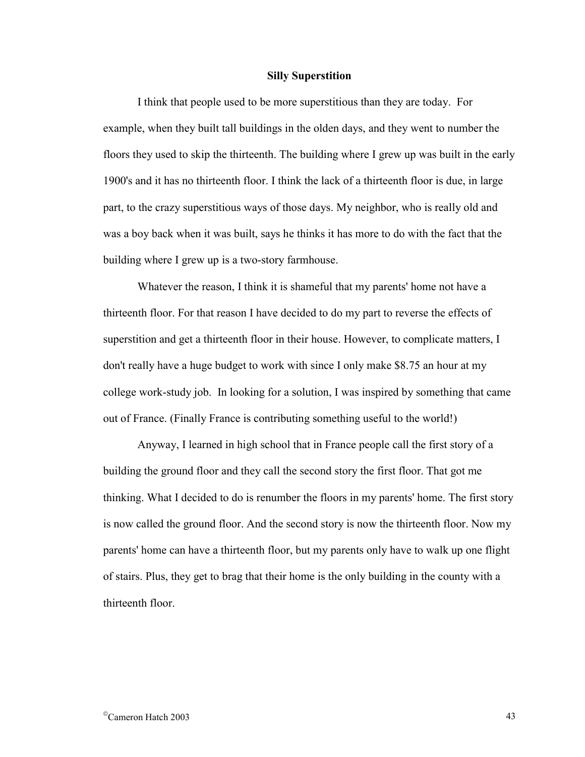#### **Silly Superstition**

I think that people used to be more superstitious than they are today. For example, when they built tall buildings in the olden days, and they went to number the floors they used to skip the thirteenth. The building where I grew up was built in the early 1900's and it has no thirteenth floor. I think the lack of a thirteenth floor is due, in large part, to the crazy superstitious ways of those days. My neighbor, who is really old and was a boy back when it was built, says he thinks it has more to do with the fact that the building where I grew up is a two-story farmhouse.

Whatever the reason, I think it is shameful that my parents' home not have a thirteenth floor. For that reason I have decided to do my part to reverse the effects of superstition and get a thirteenth floor in their house. However, to complicate matters, I don't really have a huge budget to work with since I only make \$8.75 an hour at my college work-study job. In looking for a solution, I was inspired by something that came out of France. (Finally France is contributing something useful to the world!)

Anyway, I learned in high school that in France people call the first story of a building the ground floor and they call the second story the first floor. That got me thinking. What I decided to do is renumber the floors in my parents' home. The first story is now called the ground floor. And the second story is now the thirteenth floor. Now my parents' home can have a thirteenth floor, but my parents only have to walk up one flight of stairs. Plus, they get to brag that their home is the only building in the county with a thirteenth floor.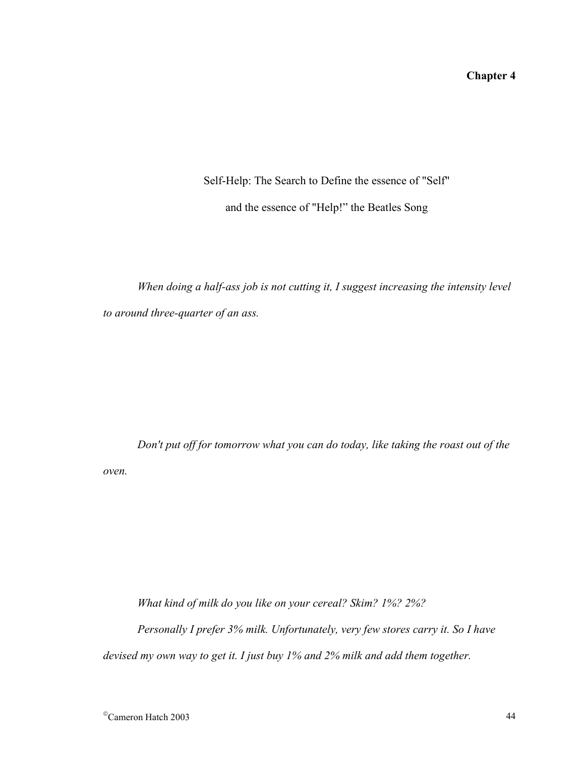# **Chapter 4**

# Self-Help: The Search to Define the essence of "Self" and the essence of "Help!" the Beatles Song

*When doing a half-ass job is not cutting it, I suggest increasing the intensity level to around three-quarter of an ass.* 

*Don't put off for tomorrow what you can do today, like taking the roast out of the oven.* 

*What kind of milk do you like on your cereal? Skim? 1%? 2%? Personally I prefer 3% milk. Unfortunately, very few stores carry it. So I have devised my own way to get it. I just buy 1% and 2% milk and add them together.*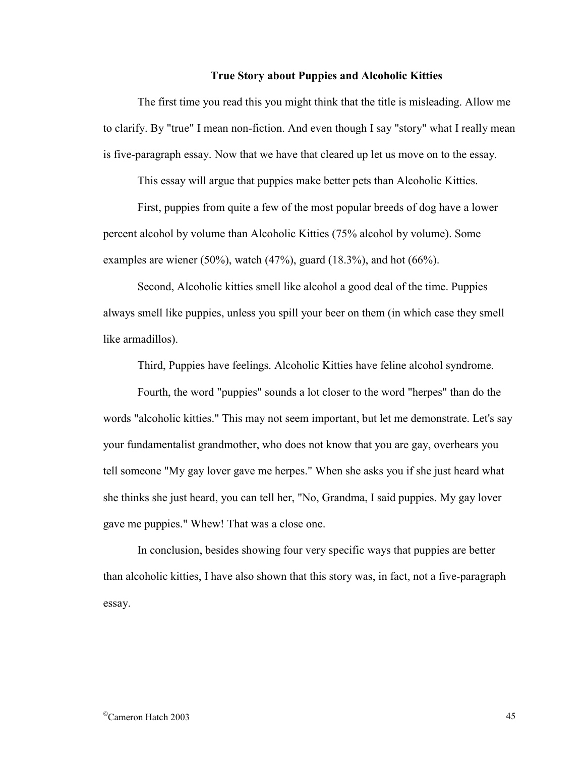## **True Story about Puppies and Alcoholic Kitties**

The first time you read this you might think that the title is misleading. Allow me to clarify. By "true" I mean non-fiction. And even though I say "story" what I really mean is five-paragraph essay. Now that we have that cleared up let us move on to the essay.

This essay will argue that puppies make better pets than Alcoholic Kitties.

First, puppies from quite a few of the most popular breeds of dog have a lower percent alcohol by volume than Alcoholic Kitties (75% alcohol by volume). Some examples are wiener (50%), watch (47%), guard (18.3%), and hot (66%).

Second, Alcoholic kitties smell like alcohol a good deal of the time. Puppies always smell like puppies, unless you spill your beer on them (in which case they smell like armadillos).

Third, Puppies have feelings. Alcoholic Kitties have feline alcohol syndrome.

Fourth, the word "puppies" sounds a lot closer to the word "herpes" than do the words "alcoholic kitties." This may not seem important, but let me demonstrate. Let's say your fundamentalist grandmother, who does not know that you are gay, overhears you tell someone "My gay lover gave me herpes." When she asks you if she just heard what she thinks she just heard, you can tell her, "No, Grandma, I said puppies. My gay lover gave me puppies." Whew! That was a close one.

In conclusion, besides showing four very specific ways that puppies are better than alcoholic kitties, I have also shown that this story was, in fact, not a five-paragraph essay.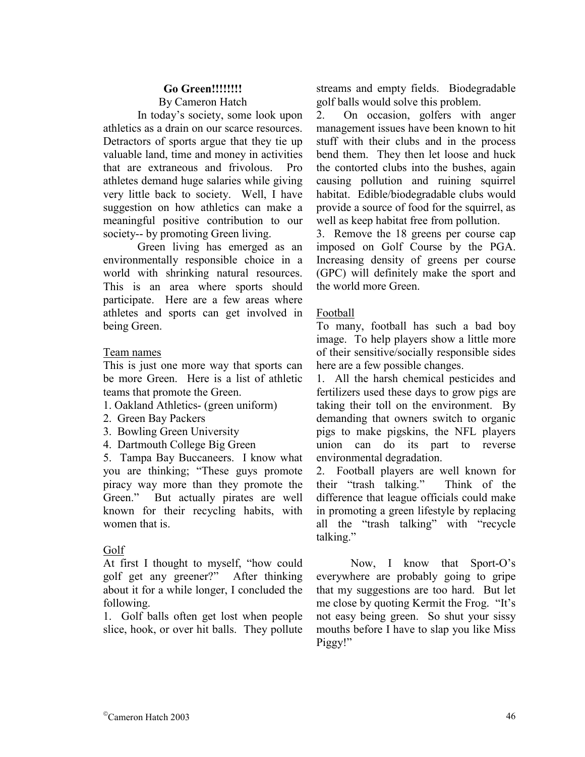## **Go Green!!!!!!!!**  By Cameron Hatch

 In today's society, some look upon athletics as a drain on our scarce resources. Detractors of sports argue that they tie up valuable land, time and money in activities that are extraneous and frivolous. Pro athletes demand huge salaries while giving very little back to society. Well, I have suggestion on how athletics can make a meaningful positive contribution to our society-- by promoting Green living.

 Green living has emerged as an environmentally responsible choice in a world with shrinking natural resources. This is an area where sports should participate. Here are a few areas where athletes and sports can get involved in being Green.

## Team names

This is just one more way that sports can be more Green. Here is a list of athletic teams that promote the Green.

- 1. Oakland Athletics- (green uniform)
- 2. Green Bay Packers
- 3. Bowling Green University
- 4. Dartmouth College Big Green

5. Tampa Bay Buccaneers. I know what you are thinking; "These guys promote piracy way more than they promote the Green." But actually pirates are well known for their recycling habits, with women that is

# Golf

At first I thought to myself, "how could golf get any greener?" After thinking about it for a while longer, I concluded the following.

1. Golf balls often get lost when people slice, hook, or over hit balls. They pollute streams and empty fields. Biodegradable golf balls would solve this problem.

2. On occasion, golfers with anger management issues have been known to hit stuff with their clubs and in the process bend them. They then let loose and huck the contorted clubs into the bushes, again causing pollution and ruining squirrel habitat. Edible/biodegradable clubs would provide a source of food for the squirrel, as well as keep habitat free from pollution.

3. Remove the 18 greens per course cap imposed on Golf Course by the PGA. Increasing density of greens per course (GPC) will definitely make the sport and the world more Green.

# Football

To many, football has such a bad boy image. To help players show a little more of their sensitive/socially responsible sides here are a few possible changes.

1. All the harsh chemical pesticides and fertilizers used these days to grow pigs are taking their toll on the environment. By demanding that owners switch to organic pigs to make pigskins, the NFL players union can do its part to reverse environmental degradation.

2. Football players are well known for their "trash talking." Think of the difference that league officials could make in promoting a green lifestyle by replacing all the "trash talking" with "recycle talking."

 Now, I know that Sport-O's everywhere are probably going to gripe that my suggestions are too hard. But let me close by quoting Kermit the Frog. "It's not easy being green. So shut your sissy mouths before I have to slap you like Miss Piggy!"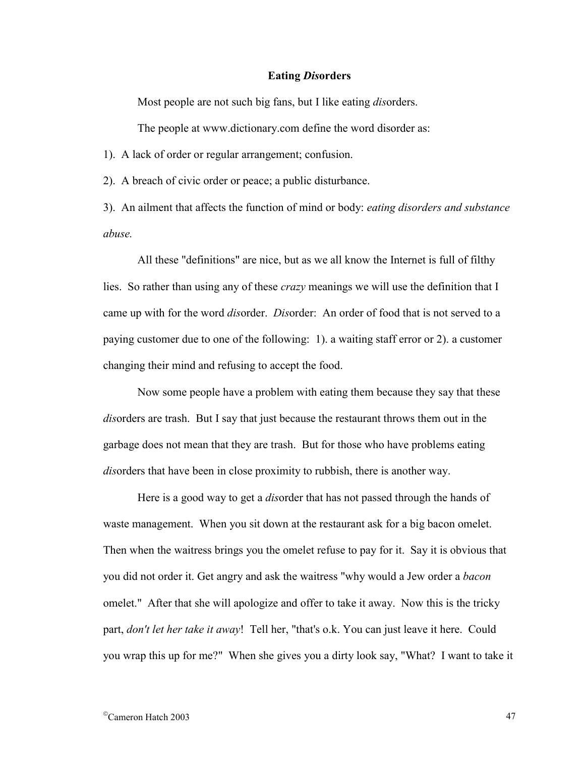## **Eating** *Dis***orders**

Most people are not such big fans, but I like eating *dis*orders.

The people at www.dictionary.com define the word disorder as:

1). A lack of order or regular arrangement; confusion.

2). A breach of civic order or peace; a public disturbance.

3). An ailment that affects the function of mind or body: *eating disorders and substance abuse.*

All these "definitions" are nice, but as we all know the Internet is full of filthy lies. So rather than using any of these *crazy* meanings we will use the definition that I came up with for the word *dis*order. *Dis*order: An order of food that is not served to a paying customer due to one of the following: 1). a waiting staff error or 2). a customer changing their mind and refusing to accept the food.

Now some people have a problem with eating them because they say that these *disorders are trash.* But I say that just because the restaurant throws them out in the garbage does not mean that they are trash. But for those who have problems eating *dis*orders that have been in close proximity to rubbish, there is another way.

Here is a good way to get a *dis*order that has not passed through the hands of waste management. When you sit down at the restaurant ask for a big bacon omelet. Then when the waitress brings you the omelet refuse to pay for it. Say it is obvious that you did not order it. Get angry and ask the waitress "why would a Jew order a *bacon* omelet." After that she will apologize and offer to take it away. Now this is the tricky part, *don't let her take it away*! Tell her, "that's o.k. You can just leave it here. Could you wrap this up for me?" When she gives you a dirty look say, "What? I want to take it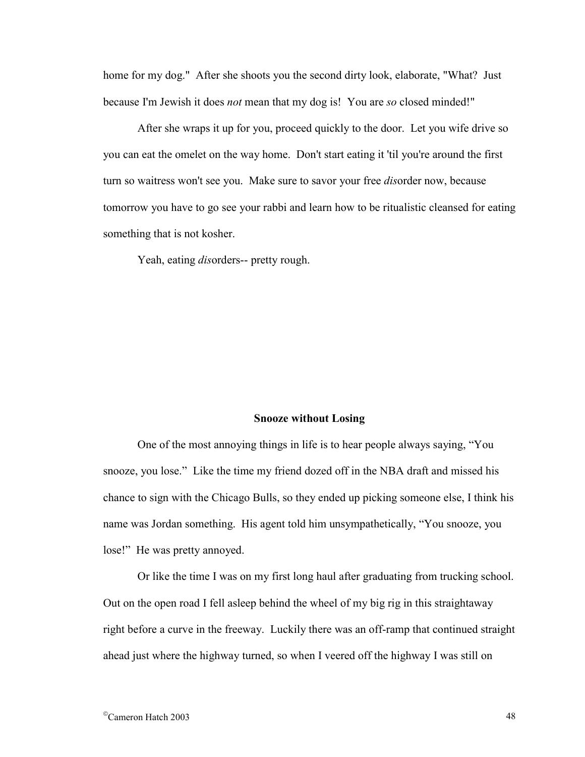home for my dog." After she shoots you the second dirty look, elaborate, "What? Just because I'm Jewish it does *not* mean that my dog is! You are *so* closed minded!"

After she wraps it up for you, proceed quickly to the door. Let you wife drive so you can eat the omelet on the way home. Don't start eating it 'til you're around the first turn so waitress won't see you. Make sure to savor your free *dis*order now, because tomorrow you have to go see your rabbi and learn how to be ritualistic cleansed for eating something that is not kosher.

Yeah, eating *dis*orders-- pretty rough.

#### **Snooze without Losing**

 One of the most annoying things in life is to hear people always saying, "You snooze, you lose." Like the time my friend dozed off in the NBA draft and missed his chance to sign with the Chicago Bulls, so they ended up picking someone else, I think his name was Jordan something. His agent told him unsympathetically, "You snooze, you lose!" He was pretty annoyed.

Or like the time I was on my first long haul after graduating from trucking school. Out on the open road I fell asleep behind the wheel of my big rig in this straightaway right before a curve in the freeway. Luckily there was an off-ramp that continued straight ahead just where the highway turned, so when I veered off the highway I was still on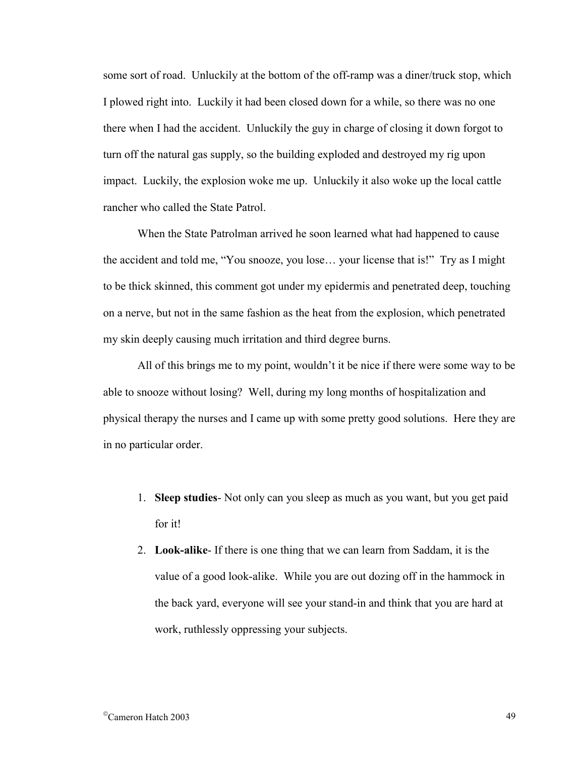some sort of road. Unluckily at the bottom of the off-ramp was a diner/truck stop, which I plowed right into. Luckily it had been closed down for a while, so there was no one there when I had the accident. Unluckily the guy in charge of closing it down forgot to turn off the natural gas supply, so the building exploded and destroyed my rig upon impact. Luckily, the explosion woke me up. Unluckily it also woke up the local cattle rancher who called the State Patrol.

When the State Patrolman arrived he soon learned what had happened to cause the accident and told me, "You snooze, you lose… your license that is!" Try as I might to be thick skinned, this comment got under my epidermis and penetrated deep, touching on a nerve, but not in the same fashion as the heat from the explosion, which penetrated my skin deeply causing much irritation and third degree burns.

All of this brings me to my point, wouldn't it be nice if there were some way to be able to snooze without losing? Well, during my long months of hospitalization and physical therapy the nurses and I came up with some pretty good solutions. Here they are in no particular order.

- 1. **Sleep studies** Not only can you sleep as much as you want, but you get paid for it!
- 2. **Look-alike** If there is one thing that we can learn from Saddam, it is the value of a good look-alike. While you are out dozing off in the hammock in the back yard, everyone will see your stand-in and think that you are hard at work, ruthlessly oppressing your subjects.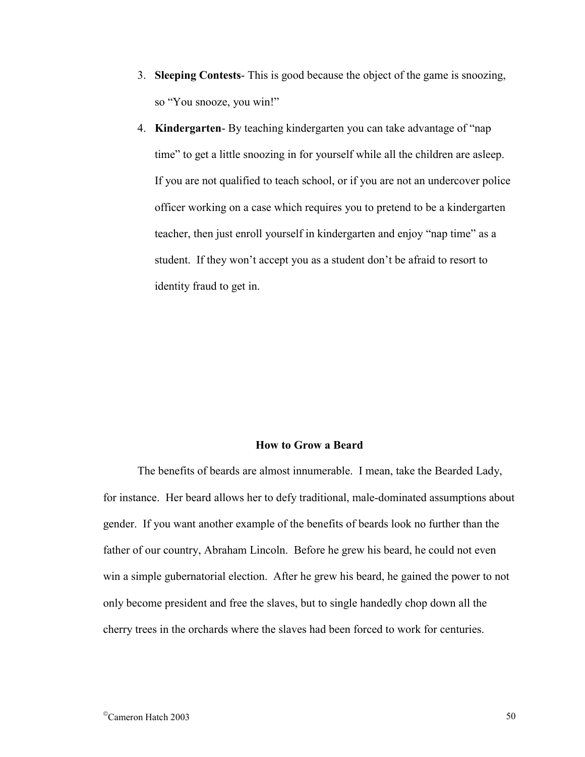- 3. **Sleeping Contests** This is good because the object of the game is snoozing, so "You snooze, you win!"
- 4. **Kindergarten** By teaching kindergarten you can take advantage of "nap time" to get a little snoozing in for yourself while all the children are asleep. If you are not qualified to teach school, or if you are not an undercover police officer working on a case which requires you to pretend to be a kindergarten teacher, then just enroll yourself in kindergarten and enjoy "nap time" as a student. If they won't accept you as a student don't be afraid to resort to identity fraud to get in.

#### **How to Grow a Beard**

 The benefits of beards are almost innumerable. I mean, take the Bearded Lady, for instance. Her beard allows her to defy traditional, male-dominated assumptions about gender. If you want another example of the benefits of beards look no further than the father of our country, Abraham Lincoln. Before he grew his beard, he could not even win a simple gubernatorial election. After he grew his beard, he gained the power to not only become president and free the slaves, but to single handedly chop down all the cherry trees in the orchards where the slaves had been forced to work for centuries.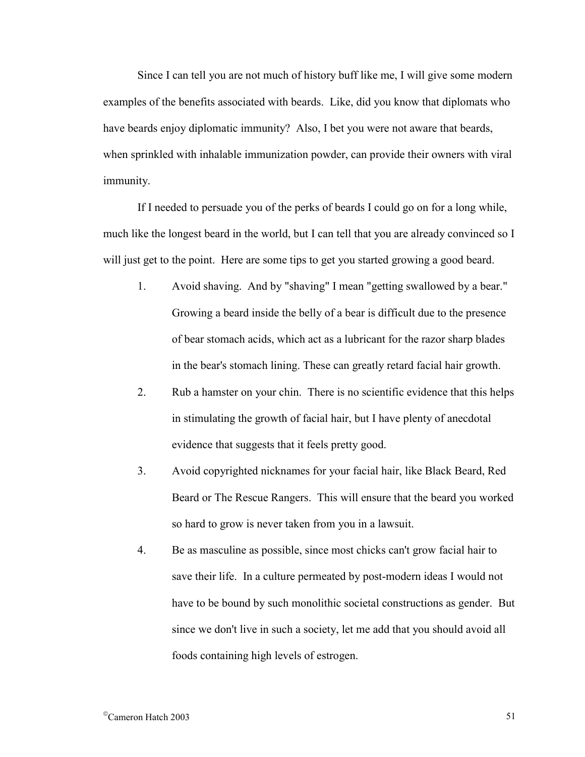Since I can tell you are not much of history buff like me, I will give some modern examples of the benefits associated with beards. Like, did you know that diplomats who have beards enjoy diplomatic immunity? Also, I bet you were not aware that beards, when sprinkled with inhalable immunization powder, can provide their owners with viral immunity.

 If I needed to persuade you of the perks of beards I could go on for a long while, much like the longest beard in the world, but I can tell that you are already convinced so I will just get to the point. Here are some tips to get you started growing a good beard.

- 1. Avoid shaving. And by "shaving" I mean "getting swallowed by a bear." Growing a beard inside the belly of a bear is difficult due to the presence of bear stomach acids, which act as a lubricant for the razor sharp blades in the bear's stomach lining. These can greatly retard facial hair growth.
- 2. Rub a hamster on your chin. There is no scientific evidence that this helps in stimulating the growth of facial hair, but I have plenty of anecdotal evidence that suggests that it feels pretty good.
- 3. Avoid copyrighted nicknames for your facial hair, like Black Beard, Red Beard or The Rescue Rangers. This will ensure that the beard you worked so hard to grow is never taken from you in a lawsuit.
- 4. Be as masculine as possible, since most chicks can't grow facial hair to save their life. In a culture permeated by post-modern ideas I would not have to be bound by such monolithic societal constructions as gender. But since we don't live in such a society, let me add that you should avoid all foods containing high levels of estrogen.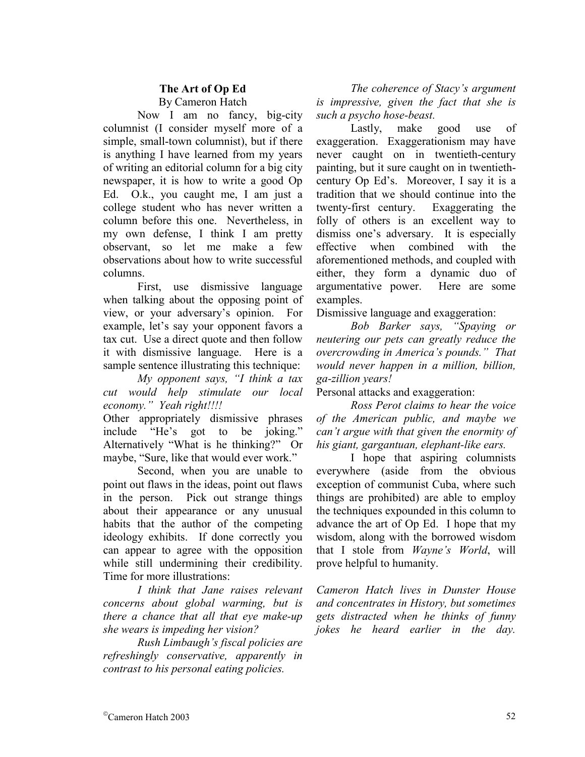# **The Art of Op Ed**  By Cameron Hatch

 Now I am no fancy, big-city columnist (I consider myself more of a simple, small-town columnist), but if there is anything I have learned from my years of writing an editorial column for a big city newspaper, it is how to write a good Op Ed. O.k., you caught me, I am just a college student who has never written a column before this one. Nevertheless, in my own defense, I think I am pretty observant, so let me make a few observations about how to write successful columns.

 First, use dismissive language when talking about the opposing point of view, or your adversary's opinion. For example, let's say your opponent favors a tax cut. Use a direct quote and then follow it with dismissive language. Here is a sample sentence illustrating this technique:

*My opponent says, "I think a tax cut would help stimulate our local economy." Yeah right!!!!* 

Other appropriately dismissive phrases include "He's got to be joking." Alternatively "What is he thinking?" Or maybe, "Sure, like that would ever work."

 Second, when you are unable to point out flaws in the ideas, point out flaws in the person. Pick out strange things about their appearance or any unusual habits that the author of the competing ideology exhibits. If done correctly you can appear to agree with the opposition while still undermining their credibility. Time for more illustrations:

*I think that Jane raises relevant concerns about global warming, but is there a chance that all that eye make-up she wears is impeding her vision?* 

 *Rush Limbaugh's fiscal policies are refreshingly conservative, apparently in contrast to his personal eating policies.*

*The coherence of Stacy's argument is impressive, given the fact that she is such a psycho hose-beast.*

 Lastly, make good use of exaggeration. Exaggerationism may have never caught on in twentieth-century painting, but it sure caught on in twentiethcentury Op Ed's. Moreover, I say it is a tradition that we should continue into the twenty-first century. Exaggerating the folly of others is an excellent way to dismiss one's adversary. It is especially effective when combined with the aforementioned methods, and coupled with either, they form a dynamic duo of argumentative power. Here are some examples.

Dismissive language and exaggeration:

*Bob Barker says, "Spaying or neutering our pets can greatly reduce the overcrowding in America's pounds." That would never happen in a million, billion, ga-zillion years!* 

Personal attacks and exaggeration:

*Ross Perot claims to hear the voice of the American public, and maybe we can't argue with that given the enormity of his giant, gargantuan, elephant-like ears.* 

 I hope that aspiring columnists everywhere (aside from the obvious exception of communist Cuba, where such things are prohibited) are able to employ the techniques expounded in this column to advance the art of Op Ed. I hope that my wisdom, along with the borrowed wisdom that I stole from *Wayne's World*, will prove helpful to humanity.

*Cameron Hatch lives in Dunster House and concentrates in History, but sometimes gets distracted when he thinks of funny jokes he heard earlier in the day.*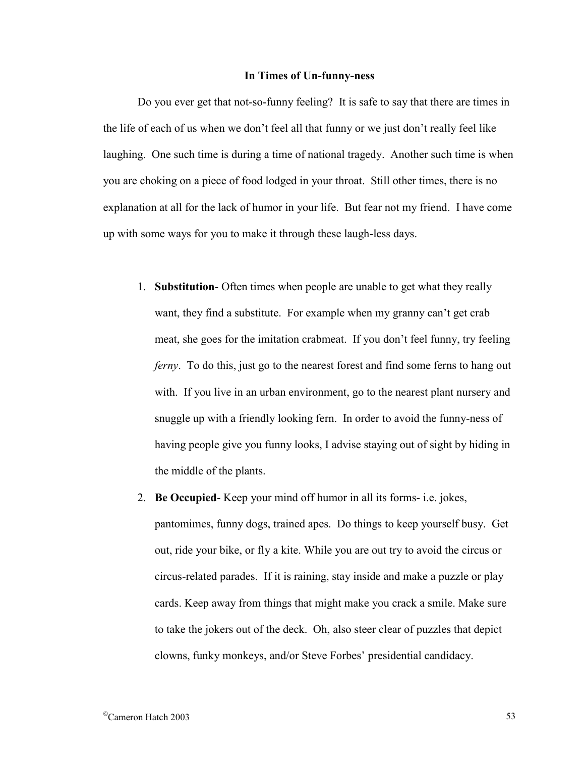## **In Times of Un-funny-ness**

Do you ever get that not-so-funny feeling? It is safe to say that there are times in the life of each of us when we don't feel all that funny or we just don't really feel like laughing. One such time is during a time of national tragedy. Another such time is when you are choking on a piece of food lodged in your throat. Still other times, there is no explanation at all for the lack of humor in your life. But fear not my friend. I have come up with some ways for you to make it through these laugh-less days.

- 1. **Substitution** Often times when people are unable to get what they really want, they find a substitute. For example when my granny can't get crab meat, she goes for the imitation crabmeat. If you don't feel funny, try feeling *ferny*. To do this, just go to the nearest forest and find some ferns to hang out with. If you live in an urban environment, go to the nearest plant nursery and snuggle up with a friendly looking fern. In order to avoid the funny-ness of having people give you funny looks, I advise staying out of sight by hiding in the middle of the plants.
- 2. **Be Occupied** Keep your mind off humor in all its forms- i.e. jokes, pantomimes, funny dogs, trained apes. Do things to keep yourself busy. Get out, ride your bike, or fly a kite. While you are out try to avoid the circus or circus-related parades. If it is raining, stay inside and make a puzzle or play cards. Keep away from things that might make you crack a smile. Make sure to take the jokers out of the deck. Oh, also steer clear of puzzles that depict clowns, funky monkeys, and/or Steve Forbes' presidential candidacy.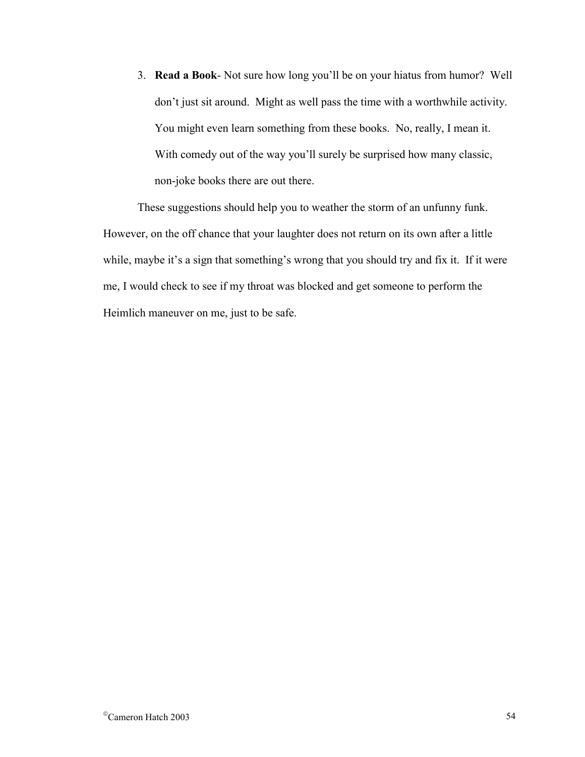3. **Read a Book**- Not sure how long you'll be on your hiatus from humor? Well don't just sit around. Might as well pass the time with a worthwhile activity. You might even learn something from these books. No, really, I mean it. With comedy out of the way you'll surely be surprised how many classic, non-joke books there are out there.

These suggestions should help you to weather the storm of an unfunny funk. However, on the off chance that your laughter does not return on its own after a little while, maybe it's a sign that something's wrong that you should try and fix it. If it were me, I would check to see if my throat was blocked and get someone to perform the Heimlich maneuver on me, just to be safe.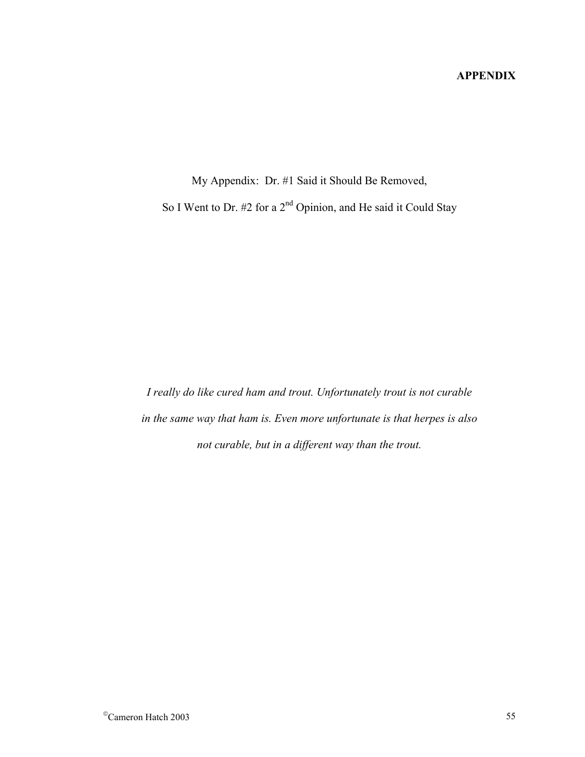# **APPENDIX**

My Appendix: Dr. #1 Said it Should Be Removed, So I Went to Dr. #2 for a 2<sup>nd</sup> Opinion, and He said it Could Stay

*I really do like cured ham and trout. Unfortunately trout is not curable in the same way that ham is. Even more unfortunate is that herpes is also not curable, but in a different way than the trout.*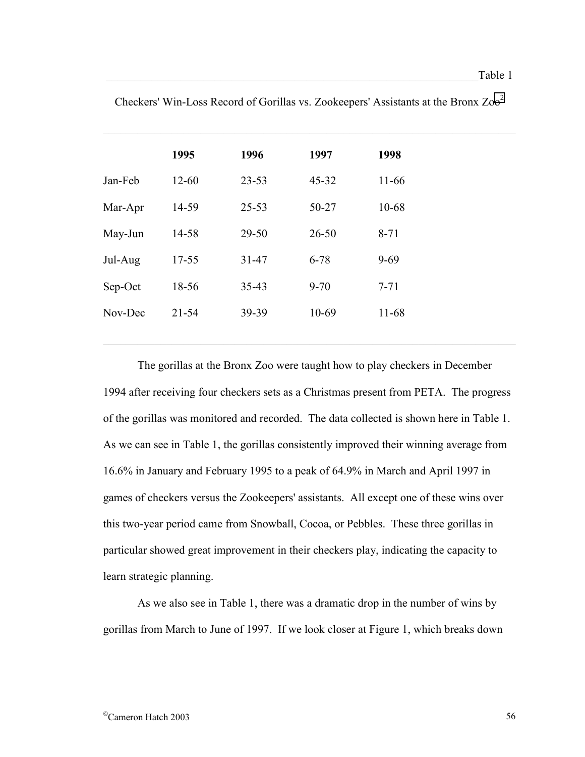|         | 1995      | 1996      | 1997      | 1998     |
|---------|-----------|-----------|-----------|----------|
| Jan-Feb | $12 - 60$ | $23 - 53$ | $45 - 32$ | 11-66    |
| Mar-Apr | 14-59     | $25 - 53$ | 50-27     | 10-68    |
| May-Jun | 14-58     | $29 - 50$ | $26 - 50$ | $8 - 71$ |
| Jul-Aug | $17 - 55$ | $31 - 47$ | $6 - 78$  | $9 - 69$ |
| Sep-Oct | 18-56     | $35 - 43$ | $9 - 70$  | $7 - 71$ |
| Nov-Dec | $21 - 54$ | 39-39     | 10-69     | 11-68    |
|         |           |           |           |          |

 $\_$  , and the contribution of the contribution of  $\mathcal{L}_\mathcal{A}$  , and the contribution of  $\mathcal{L}_\mathcal{A}$ 

Checkers' Win-Loss Record of Gorillas vs. Zookeepers' Assistants at the Bronx Zoo2

 $\_$  , and the contribution of the contribution of  $\mathcal{L}_\mathcal{A}$  , and the contribution of  $\mathcal{L}_\mathcal{A}$ 

 The gorillas at the Bronx Zoo were taught how to play checkers in December 1994 after receiving four checkers sets as a Christmas present from PETA. The progress of the gorillas was monitored and recorded. The data collected is shown here in Table 1. As we can see in Table 1, the gorillas consistently improved their winning average from 16.6% in January and February 1995 to a peak of 64.9% in March and April 1997 in games of checkers versus the Zookeepers' assistants. All except one of these wins over this two-year period came from Snowball, Cocoa, or Pebbles. These three gorillas in particular showed great improvement in their checkers play, indicating the capacity to learn strategic planning.

 As we also see in Table 1, there was a dramatic drop in the number of wins by gorillas from March to June of 1997. If we look closer at Figure 1, which breaks down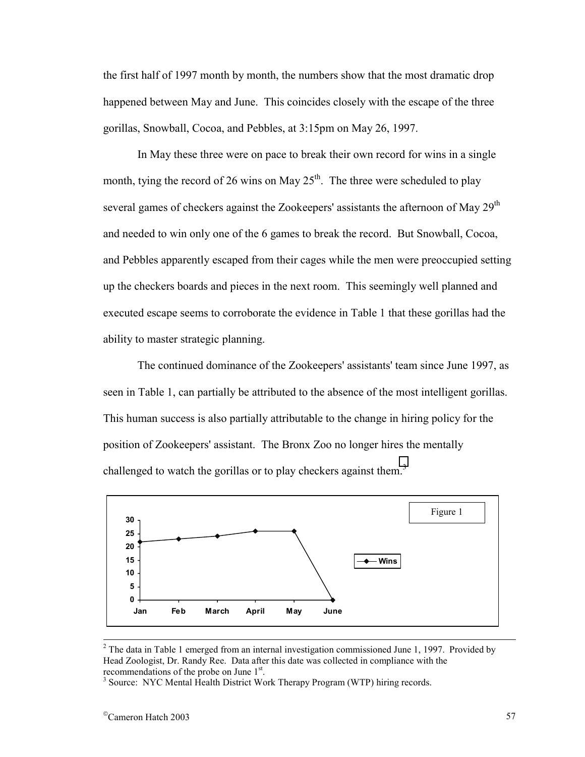the first half of 1997 month by month, the numbers show that the most dramatic drop happened between May and June. This coincides closely with the escape of the three gorillas, Snowball, Cocoa, and Pebbles, at 3:15pm on May 26, 1997.

In May these three were on pace to break their own record for wins in a single month, tying the record of 26 wins on May  $25<sup>th</sup>$ . The three were scheduled to play several games of checkers against the Zookeepers' assistants the afternoon of May  $29<sup>th</sup>$ and needed to win only one of the 6 games to break the record. But Snowball, Cocoa, and Pebbles apparently escaped from their cages while the men were preoccupied setting up the checkers boards and pieces in the next room. This seemingly well planned and executed escape seems to corroborate the evidence in Table 1 that these gorillas had the ability to master strategic planning.

The continued dominance of the Zookeepers' assistants' team since June 1997, as seen in Table 1, can partially be attributed to the absence of the most intelligent gorillas. This human success is also partially attributable to the change in hiring policy for the position of Zookeepers' assistant. The Bronx Zoo no longer hires the mentally challenged to watch the gorillas or to play checkers against them.<sup>3</sup>



<sup>&</sup>lt;sup>2</sup> <sup>2</sup> The data in Table 1 emerged from an internal investigation commissioned June 1, 1997. Provided by Head Zoologist, Dr. Randy Ree. Data after this date was collected in compliance with the recommendations of the probe on June  $1<sup>st</sup>$ .<br>  $3$  Source: NVC Montal Health District Wo

<sup>&</sup>lt;sup>3</sup> Source: NYC Mental Health District Work Therapy Program (WTP) hiring records.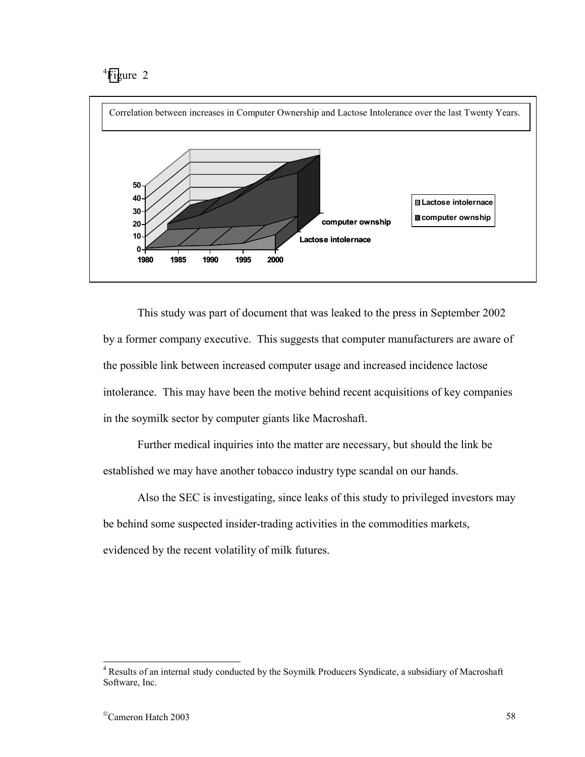# <sup>4</sup>Figure 2



 This study was part of document that was leaked to the press in September 2002 by a former company executive. This suggests that computer manufacturers are aware of the possible link between increased computer usage and increased incidence lactose intolerance. This may have been the motive behind recent acquisitions of key companies in the soymilk sector by computer giants like Macroshaft.

 Further medical inquiries into the matter are necessary, but should the link be established we may have another tobacco industry type scandal on our hands.

 Also the SEC is investigating, since leaks of this study to privileged investors may be behind some suspected insider-trading activities in the commodities markets, evidenced by the recent volatility of milk futures.

<sup>&</sup>lt;sup>4</sup> Results of an internal study conducted by the Soymilk Producers Syndicate, a subsidiary of Macroshaft Software, Inc.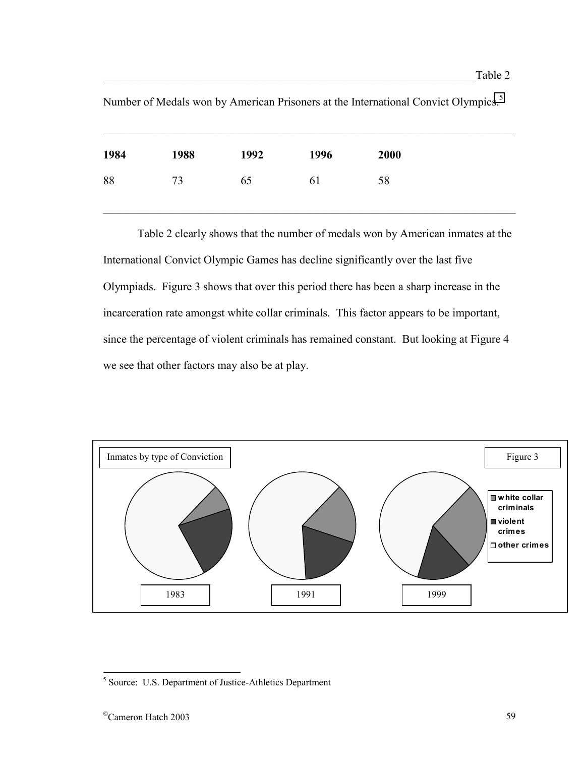| 1984 | 1988 | 1992 | 1996 | 2000 |
|------|------|------|------|------|
| 88   | 73   | 65   | 61   | 58   |
|      |      |      |      |      |

Number of Medals won by American Prisoners at the International Convict Olympics.<sup>5</sup>

 Table 2 clearly shows that the number of medals won by American inmates at the International Convict Olympic Games has decline significantly over the last five Olympiads. Figure 3 shows that over this period there has been a sharp increase in the incarceration rate amongst white collar criminals. This factor appears to be important, since the percentage of violent criminals has remained constant. But looking at Figure 4 we see that other factors may also be at play.



 $\overline{a}$ 

<sup>&</sup>lt;sup>5</sup> Source: U.S. Department of Justice-Athletics Department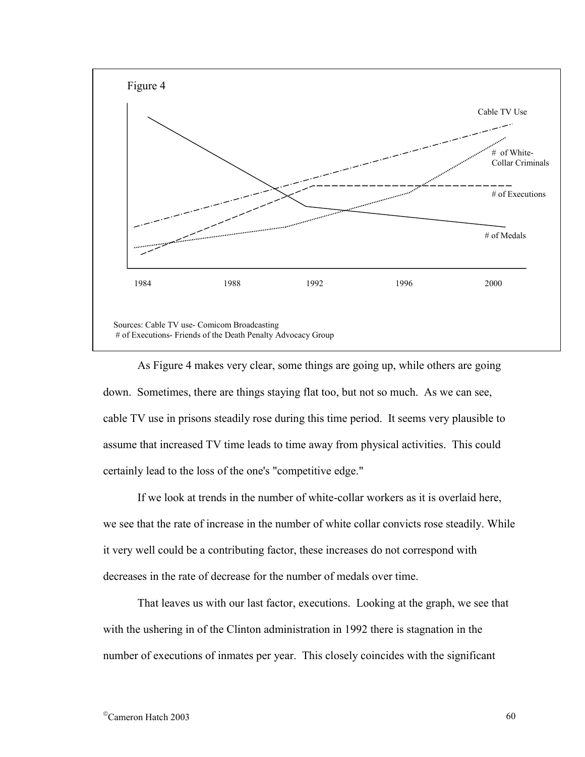

 As Figure 4 makes very clear, some things are going up, while others are going down. Sometimes, there are things staying flat too, but not so much. As we can see, cable TV use in prisons steadily rose during this time period. It seems very plausible to assume that increased TV time leads to time away from physical activities. This could certainly lead to the loss of the one's "competitive edge."

 If we look at trends in the number of white-collar workers as it is overlaid here, we see that the rate of increase in the number of white collar convicts rose steadily. While it very well could be a contributing factor, these increases do not correspond with decreases in the rate of decrease for the number of medals over time.

 That leaves us with our last factor, executions. Looking at the graph, we see that with the ushering in of the Clinton administration in 1992 there is stagnation in the number of executions of inmates per year. This closely coincides with the significant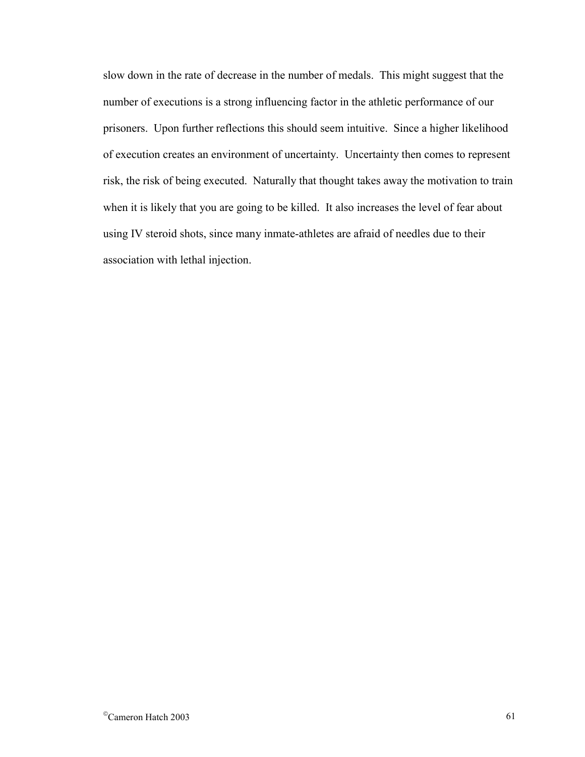slow down in the rate of decrease in the number of medals. This might suggest that the number of executions is a strong influencing factor in the athletic performance of our prisoners. Upon further reflections this should seem intuitive. Since a higher likelihood of execution creates an environment of uncertainty. Uncertainty then comes to represent risk, the risk of being executed. Naturally that thought takes away the motivation to train when it is likely that you are going to be killed. It also increases the level of fear about using IV steroid shots, since many inmate-athletes are afraid of needles due to their association with lethal injection.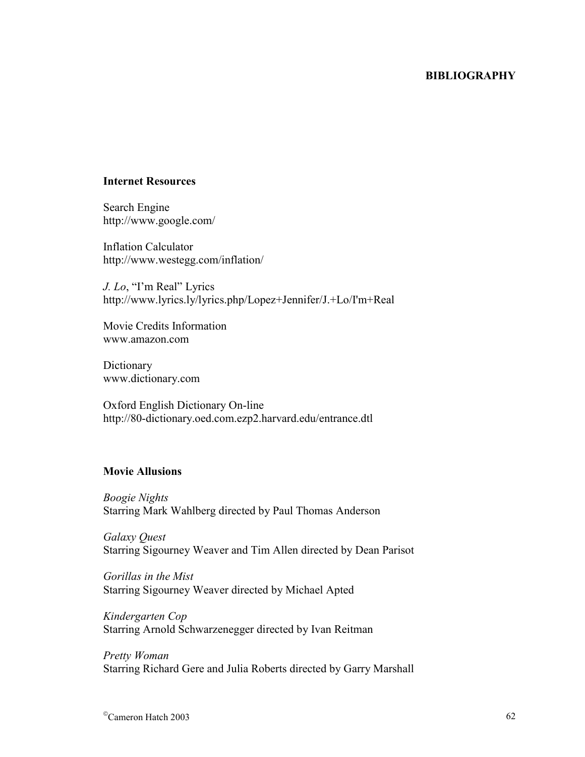## **BIBLIOGRAPHY**

#### **Internet Resources**

Search Engine http://www.google.com/

Inflation Calculator http://www.westegg.com/inflation/

*J. Lo*, "I'm Real" Lyrics http://www.lyrics.ly/lyrics.php/Lopez+Jennifer/J.+Lo/I'm+Real

Movie Credits Information www.amazon.com

**Dictionary** www.dictionary.com

Oxford English Dictionary On-line http://80-dictionary.oed.com.ezp2.harvard.edu/entrance.dtl

## **Movie Allusions**

*Boogie Nights*  Starring Mark Wahlberg directed by Paul Thomas Anderson

*Galaxy Quest*  Starring Sigourney Weaver and Tim Allen directed by Dean Parisot

*Gorillas in the Mist*  Starring Sigourney Weaver directed by Michael Apted

*Kindergarten Cop* Starring Arnold Schwarzenegger directed by Ivan Reitman

*Pretty Woman*  Starring Richard Gere and Julia Roberts directed by Garry Marshall